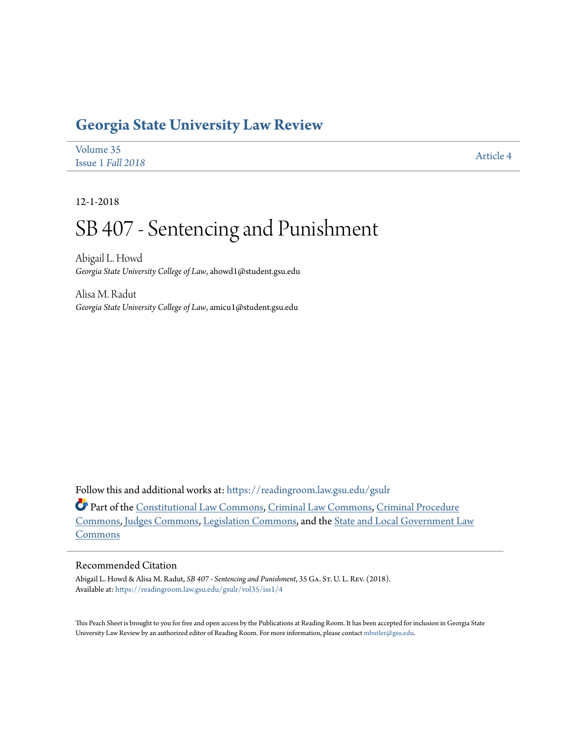# **[Georgia State University Law Review](https://readingroom.law.gsu.edu/gsulr?utm_source=readingroom.law.gsu.edu%2Fgsulr%2Fvol35%2Fiss1%2F4&utm_medium=PDF&utm_campaign=PDFCoverPages)**

| Volume 35         | <b>Article 4</b> |
|-------------------|------------------|
| Issue 1 Fall 2018 |                  |

12-1-2018

# SB 407 - Sentencing and Punishment

Abigail L. Howd *Georgia State University College of Law*, ahowd1@student.gsu.edu

Alisa M. Radut *Georgia State University College of Law*, amicu1@student.gsu.edu

Follow this and additional works at: [https://readingroom.law.gsu.edu/gsulr](https://readingroom.law.gsu.edu/gsulr?utm_source=readingroom.law.gsu.edu%2Fgsulr%2Fvol35%2Fiss1%2F4&utm_medium=PDF&utm_campaign=PDFCoverPages)

Part of the [Constitutional Law Commons,](http://network.bepress.com/hgg/discipline/589?utm_source=readingroom.law.gsu.edu%2Fgsulr%2Fvol35%2Fiss1%2F4&utm_medium=PDF&utm_campaign=PDFCoverPages) [Criminal Law Commons](http://network.bepress.com/hgg/discipline/912?utm_source=readingroom.law.gsu.edu%2Fgsulr%2Fvol35%2Fiss1%2F4&utm_medium=PDF&utm_campaign=PDFCoverPages), [Criminal Procedure](http://network.bepress.com/hgg/discipline/1073?utm_source=readingroom.law.gsu.edu%2Fgsulr%2Fvol35%2Fiss1%2F4&utm_medium=PDF&utm_campaign=PDFCoverPages) [Commons,](http://network.bepress.com/hgg/discipline/1073?utm_source=readingroom.law.gsu.edu%2Fgsulr%2Fvol35%2Fiss1%2F4&utm_medium=PDF&utm_campaign=PDFCoverPages) [Judges Commons](http://network.bepress.com/hgg/discipline/849?utm_source=readingroom.law.gsu.edu%2Fgsulr%2Fvol35%2Fiss1%2F4&utm_medium=PDF&utm_campaign=PDFCoverPages), [Legislation Commons,](http://network.bepress.com/hgg/discipline/859?utm_source=readingroom.law.gsu.edu%2Fgsulr%2Fvol35%2Fiss1%2F4&utm_medium=PDF&utm_campaign=PDFCoverPages) and the [State and Local Government Law](http://network.bepress.com/hgg/discipline/879?utm_source=readingroom.law.gsu.edu%2Fgsulr%2Fvol35%2Fiss1%2F4&utm_medium=PDF&utm_campaign=PDFCoverPages) [Commons](http://network.bepress.com/hgg/discipline/879?utm_source=readingroom.law.gsu.edu%2Fgsulr%2Fvol35%2Fiss1%2F4&utm_medium=PDF&utm_campaign=PDFCoverPages)

# Recommended Citation

Abigail L. Howd & Alisa M. Radut, *SB 407 - Sentencing and Punishment*, 35 GA. St. U. L. REV. (2018). Available at: [https://readingroom.law.gsu.edu/gsulr/vol35/iss1/4](https://readingroom.law.gsu.edu/gsulr/vol35/iss1/4?utm_source=readingroom.law.gsu.edu%2Fgsulr%2Fvol35%2Fiss1%2F4&utm_medium=PDF&utm_campaign=PDFCoverPages)

This Peach Sheet is brought to you for free and open access by the Publications at Reading Room. It has been accepted for inclusion in Georgia State University Law Review by an authorized editor of Reading Room. For more information, please contact [mbutler@gsu.edu.](mailto:mbutler@gsu.edu)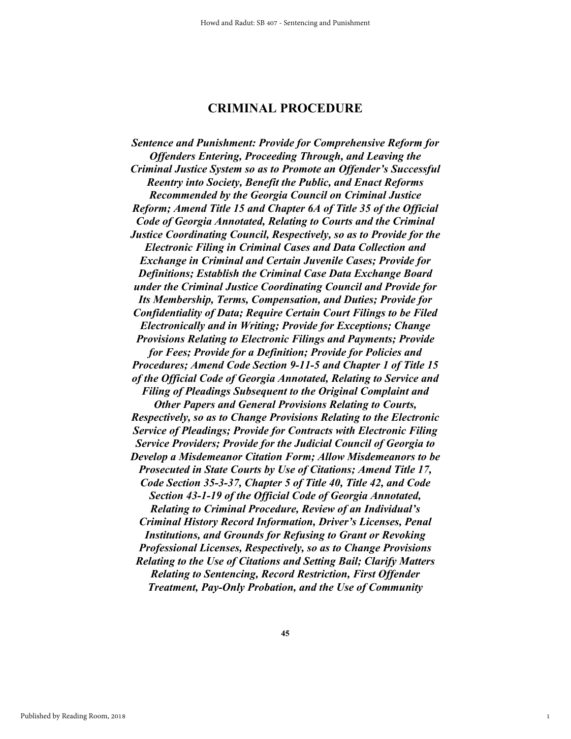# **CRIMINAL PROCEDURE**

*Sentence and Punishment: Provide for Comprehensive Reform for Offenders Entering, Proceeding Through, and Leaving the Criminal Justice System so as to Promote an Offender's Successful Reentry into Society, Benefit the Public, and Enact Reforms Recommended by the Georgia Council on Criminal Justice Reform; Amend Title 15 and Chapter 6A of Title 35 of the Official Code of Georgia Annotated, Relating to Courts and the Criminal Justice Coordinating Council, Respectively, so as to Provide for the Electronic Filing in Criminal Cases and Data Collection and Exchange in Criminal and Certain Juvenile Cases; Provide for Definitions; Establish the Criminal Case Data Exchange Board under the Criminal Justice Coordinating Council and Provide for Its Membership, Terms, Compensation, and Duties; Provide for Confidentiality of Data; Require Certain Court Filings to be Filed Electronically and in Writing; Provide for Exceptions; Change Provisions Relating to Electronic Filings and Payments; Provide for Fees; Provide for a Definition; Provide for Policies and Procedures; Amend Code Section 9-11-5 and Chapter 1 of Title 15 of the Official Code of Georgia Annotated, Relating to Service and Filing of Pleadings Subsequent to the Original Complaint and Other Papers and General Provisions Relating to Courts, Respectively, so as to Change Provisions Relating to the Electronic Service of Pleadings; Provide for Contracts with Electronic Filing Service Providers; Provide for the Judicial Council of Georgia to Develop a Misdemeanor Citation Form; Allow Misdemeanors to be Prosecuted in State Courts by Use of Citations; Amend Title 17, Code Section 35-3-37, Chapter 5 of Title 40, Title 42, and Code Section 43-1-19 of the Official Code of Georgia Annotated, Relating to Criminal Procedure, Review of an Individual's Criminal History Record Information, Driver's Licenses, Penal Institutions, and Grounds for Refusing to Grant or Revoking Professional Licenses, Respectively, so as to Change Provisions Relating to the Use of Citations and Setting Bail; Clarify Matters Relating to Sentencing, Record Restriction, First Offender Treatment, Pay-Only Probation, and the Use of Community* 

1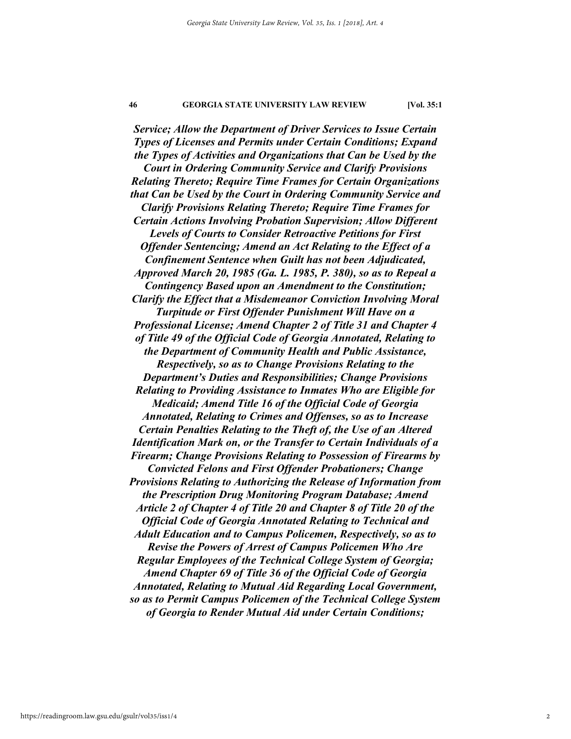*Service; Allow the Department of Driver Services to Issue Certain Types of Licenses and Permits under Certain Conditions; Expand the Types of Activities and Organizations that Can be Used by the Court in Ordering Community Service and Clarify Provisions Relating Thereto; Require Time Frames for Certain Organizations that Can be Used by the Court in Ordering Community Service and Clarify Provisions Relating Thereto; Require Time Frames for Certain Actions Involving Probation Supervision; Allow Different Levels of Courts to Consider Retroactive Petitions for First Offender Sentencing; Amend an Act Relating to the Effect of a Confinement Sentence when Guilt has not been Adjudicated, Approved March 20, 1985 (Ga. L. 1985, P. 380), so as to Repeal a Contingency Based upon an Amendment to the Constitution; Clarify the Effect that a Misdemeanor Conviction Involving Moral Turpitude or First Offender Punishment Will Have on a Professional License; Amend Chapter 2 of Title 31 and Chapter 4 of Title 49 of the Official Code of Georgia Annotated, Relating to the Department of Community Health and Public Assistance, Respectively, so as to Change Provisions Relating to the Department's Duties and Responsibilities; Change Provisions Relating to Providing Assistance to Inmates Who are Eligible for Medicaid; Amend Title 16 of the Official Code of Georgia Annotated, Relating to Crimes and Offenses, so as to Increase Certain Penalties Relating to the Theft of, the Use of an Altered Identification Mark on, or the Transfer to Certain Individuals of a Firearm; Change Provisions Relating to Possession of Firearms by Convicted Felons and First Offender Probationers; Change Provisions Relating to Authorizing the Release of Information from the Prescription Drug Monitoring Program Database; Amend Article 2 of Chapter 4 of Title 20 and Chapter 8 of Title 20 of the Official Code of Georgia Annotated Relating to Technical and Adult Education and to Campus Policemen, Respectively, so as to Revise the Powers of Arrest of Campus Policemen Who Are Regular Employees of the Technical College System of Georgia; Amend Chapter 69 of Title 36 of the Official Code of Georgia Annotated, Relating to Mutual Aid Regarding Local Government, so as to Permit Campus Policemen of the Technical College System of Georgia to Render Mutual Aid under Certain Conditions;*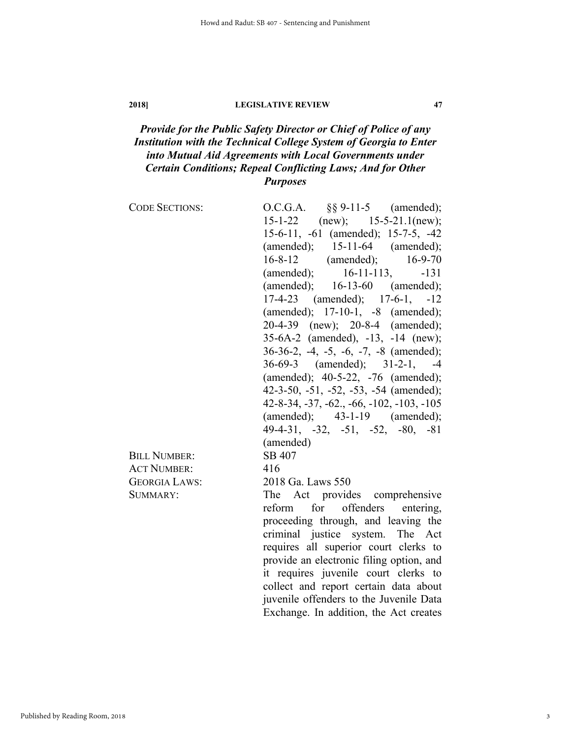# *Provide for the Public Safety Director or Chief of Police of any Institution with the Technical College System of Georgia to Enter into Mutual Aid Agreements with Local Governments under Certain Conditions; Repeal Conflicting Laws; And for Other Purposes*

| <b>CODE SECTIONS:</b> | $\S\S 9 - 11 - 5$ (amended);<br>O.C.G.A.   |
|-----------------------|--------------------------------------------|
|                       | $15 - 1 - 22$<br>$(new);$ 15-5-21.1(new);  |
|                       | 15-6-11, -61 (amended); 15-7-5, -42        |
|                       | (amended); $15-11-64$ (amended);           |
|                       | 16-8-12 (amended); 16-9-70                 |
|                       | (amended); $16-11-113$ ,<br>$-131$         |
|                       | (amended); $16-13-60$ (amended);           |
|                       | $17-4-23$ (amended); $17-6-1$ , $-12$      |
|                       | (amended); 17-10-1, -8 (amended);          |
|                       | 20-4-39 (new); 20-8-4 (amended);           |
|                       | 35-6A-2 (amended), -13, -14 (new);         |
|                       | 36-36-2, -4, -5, -6, -7, -8 (amended);     |
|                       | 36-69-3 (amended); 31-2-1, -4              |
|                       | (amended); 40-5-22, -76 (amended);         |
|                       | 42-3-50, -51, -52, -53, -54 (amended);     |
|                       | $42-8-34, -37, -62, -66, -102, -103, -105$ |
|                       | $(amended);$ $43-1-19$ $(amended);$        |
|                       | $49-4-31, -32, -51, -52, -80, -81$         |
|                       | (amended)                                  |
| <b>BILL NUMBER:</b>   | SB 407                                     |
| <b>ACT NUMBER:</b>    | 416                                        |
| <b>GEORGIA LAWS:</b>  | 2018 Ga. Laws 550                          |
| SUMMARY:              | The Act provides comprehensive             |
|                       | reform for offenders<br>entering,          |
|                       | proceeding through, and leaving the        |
|                       | criminal justice system. The Act           |
|                       | requires all superior court clerks to      |
|                       | provide an electronic filing option, and   |
|                       | it requires juvenile court clerks to       |
|                       | collect and report certain data about      |
|                       | juvenile offenders to the Juvenile Data    |
|                       | Exchange. In addition, the Act creates     |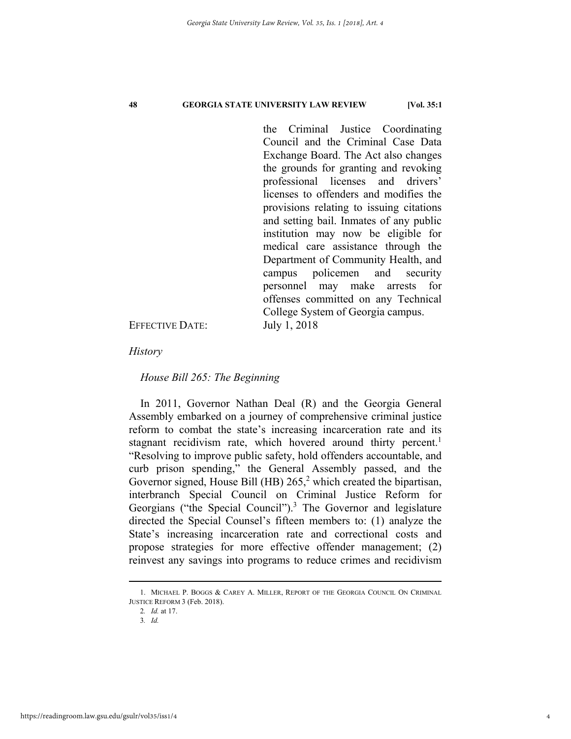the Criminal Justice Coordinating Council and the Criminal Case Data Exchange Board. The Act also changes the grounds for granting and revoking professional licenses and drivers' licenses to offenders and modifies the provisions relating to issuing citations and setting bail. Inmates of any public institution may now be eligible for medical care assistance through the Department of Community Health, and campus policemen and security personnel may make arrests for offenses committed on any Technical College System of Georgia campus.

EFFECTIVE DATE: July 1, 2018

*History* 

*House Bill 265: The Beginning* 

In 2011, Governor Nathan Deal (R) and the Georgia General Assembly embarked on a journey of comprehensive criminal justice reform to combat the state's increasing incarceration rate and its stagnant recidivism rate, which hovered around thirty percent.<sup>1</sup> "Resolving to improve public safety, hold offenders accountable, and curb prison spending," the General Assembly passed, and the Governor signed, House Bill (HB)  $265<sup>2</sup>$  which created the bipartisan, interbranch Special Council on Criminal Justice Reform for Georgians ("the Special Council").<sup>3</sup> The Governor and legislature directed the Special Counsel's fifteen members to: (1) analyze the State's increasing incarceration rate and correctional costs and propose strategies for more effective offender management; (2) reinvest any savings into programs to reduce crimes and recidivism

2*. Id.* at 17.

3*. Id.*

 <sup>1.</sup> MICHAEL P. BOGGS & CAREY A. MILLER, REPORT OF THE GEORGIA COUNCIL ON CRIMINAL JUSTICE REFORM 3 (Feb. 2018).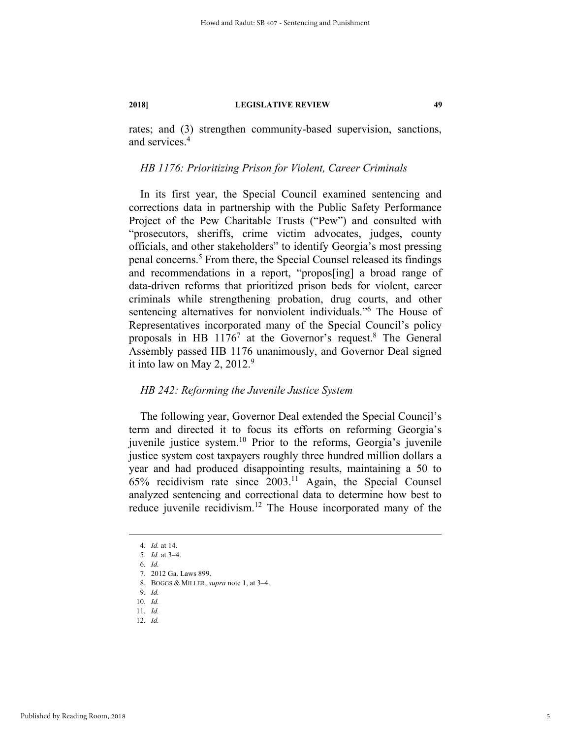rates; and (3) strengthen community-based supervision, sanctions, and services.4

# *HB 1176: Prioritizing Prison for Violent, Career Criminals*

In its first year, the Special Council examined sentencing and corrections data in partnership with the Public Safety Performance Project of the Pew Charitable Trusts ("Pew") and consulted with "prosecutors, sheriffs, crime victim advocates, judges, county officials, and other stakeholders" to identify Georgia's most pressing penal concerns.<sup>5</sup> From there, the Special Counsel released its findings and recommendations in a report, "propos[ing] a broad range of data-driven reforms that prioritized prison beds for violent, career criminals while strengthening probation, drug courts, and other sentencing alternatives for nonviolent individuals."6 The House of Representatives incorporated many of the Special Council's policy proposals in HB  $1176^7$  at the Governor's request.<sup>8</sup> The General Assembly passed HB 1176 unanimously, and Governor Deal signed it into law on May 2, 2012.<sup>9</sup>

# *HB 242: Reforming the Juvenile Justice System*

The following year, Governor Deal extended the Special Council's term and directed it to focus its efforts on reforming Georgia's juvenile justice system.<sup>10</sup> Prior to the reforms, Georgia's juvenile justice system cost taxpayers roughly three hundred million dollars a year and had produced disappointing results, maintaining a 50 to  $65\%$  recidivism rate since  $2003$ .<sup>11</sup> Again, the Special Counsel analyzed sentencing and correctional data to determine how best to reduce juvenile recidivism.12 The House incorporated many of the

 <sup>4</sup>*. Id.* at 14.

<sup>5</sup>*. Id.* at 3–4.

<sup>6</sup>*. Id.*

 <sup>7. 2012</sup> Ga. Laws 899.

 <sup>8.</sup> BOGGS & MILLER, *supra* note 1, at 3–4.

<sup>9</sup>*. Id.*

<sup>10</sup>*. Id.*

<sup>11</sup>*. Id.*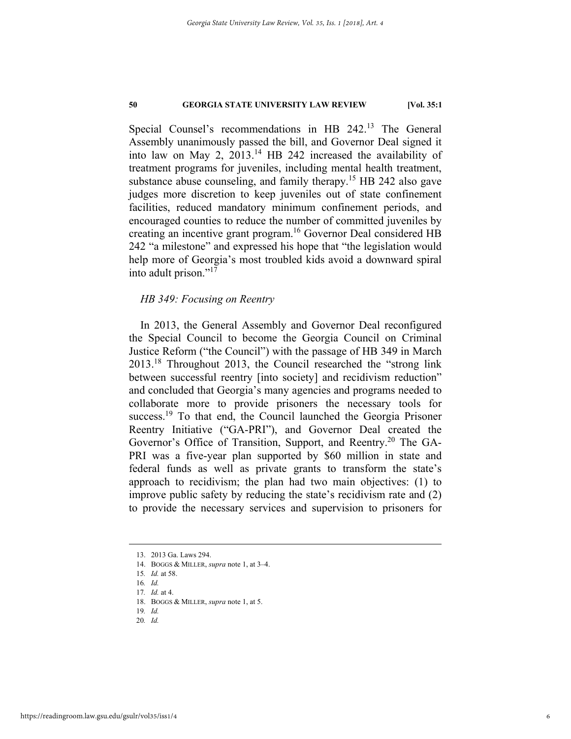Special Counsel's recommendations in HB 242.13 The General Assembly unanimously passed the bill, and Governor Deal signed it into law on May 2, 2013.14 HB 242 increased the availability of treatment programs for juveniles, including mental health treatment, substance abuse counseling, and family therapy.<sup>15</sup> HB 242 also gave judges more discretion to keep juveniles out of state confinement facilities, reduced mandatory minimum confinement periods, and encouraged counties to reduce the number of committed juveniles by creating an incentive grant program.16 Governor Deal considered HB 242 "a milestone" and expressed his hope that "the legislation would help more of Georgia's most troubled kids avoid a downward spiral into adult prison."<sup>17</sup>

# *HB 349: Focusing on Reentry*

In 2013, the General Assembly and Governor Deal reconfigured the Special Council to become the Georgia Council on Criminal Justice Reform ("the Council") with the passage of HB 349 in March 2013.18 Throughout 2013, the Council researched the "strong link between successful reentry [into society] and recidivism reduction" and concluded that Georgia's many agencies and programs needed to collaborate more to provide prisoners the necessary tools for success.<sup>19</sup> To that end, the Council launched the Georgia Prisoner Reentry Initiative ("GA-PRI"), and Governor Deal created the Governor's Office of Transition, Support, and Reentry.<sup>20</sup> The GA-PRI was a five-year plan supported by \$60 million in state and federal funds as well as private grants to transform the state's approach to recidivism; the plan had two main objectives: (1) to improve public safety by reducing the state's recidivism rate and (2) to provide the necessary services and supervision to prisoners for

 <sup>13. 2013</sup> Ga. Laws 294.

 <sup>14.</sup> BOGGS & MILLER, *supra* note 1, at 3–4.

<sup>15</sup>*. Id.* at 58.

<sup>16</sup>*. Id.*

<sup>17</sup>*. Id.* at 4.

 <sup>18.</sup> BOGGS & MILLER, *supra* note 1, at 5.

<sup>19</sup>*. Id.* 20*. Id.*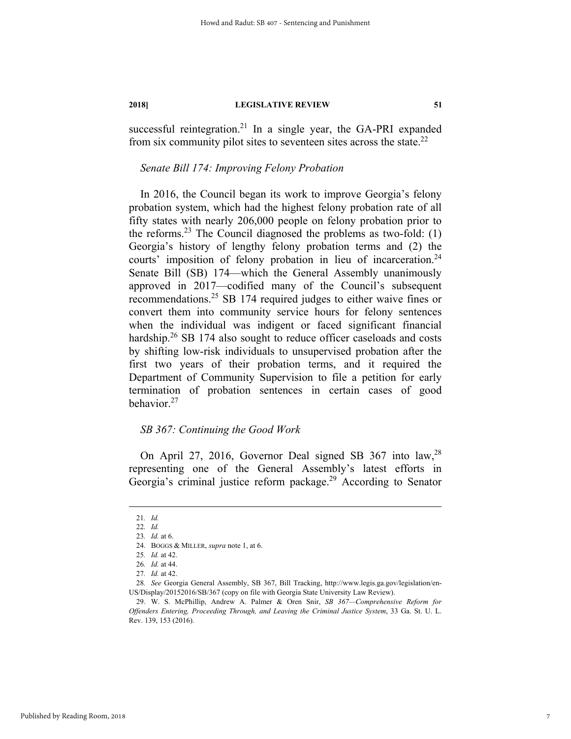successful reintegration.<sup>21</sup> In a single year, the GA-PRI expanded from six community pilot sites to seventeen sites across the state. $^{22}$ 

# *Senate Bill 174: Improving Felony Probation*

In 2016, the Council began its work to improve Georgia's felony probation system, which had the highest felony probation rate of all fifty states with nearly 206,000 people on felony probation prior to the reforms.<sup>23</sup> The Council diagnosed the problems as two-fold:  $(1)$ Georgia's history of lengthy felony probation terms and (2) the courts' imposition of felony probation in lieu of incarceration.<sup>24</sup> Senate Bill (SB) 174—which the General Assembly unanimously approved in 2017—codified many of the Council's subsequent recommendations.25 SB 174 required judges to either waive fines or convert them into community service hours for felony sentences when the individual was indigent or faced significant financial hardship. $26$  SB 174 also sought to reduce officer caseloads and costs by shifting low-risk individuals to unsupervised probation after the first two years of their probation terms, and it required the Department of Community Supervision to file a petition for early termination of probation sentences in certain cases of good behavior.27

# *SB 367: Continuing the Good Work*

On April 27, 2016, Governor Deal signed SB 367 into law,28 representing one of the General Assembly's latest efforts in Georgia's criminal justice reform package.<sup>29</sup> According to Senator

7

 <sup>21</sup>*. Id.*

<sup>22</sup>*. Id.*

<sup>23</sup>*. Id.* at 6.

 <sup>24.</sup> BOGGS & MILLER, *supra* note 1, at 6.

<sup>25</sup>*. Id.* at 42.

<sup>26</sup>*. Id.* at 44.

<sup>27</sup>*. Id.* at 42.

<sup>28</sup>*. See* Georgia General Assembly, SB 367, Bill Tracking, http://www.legis.ga.gov/legislation/en-US/Display/20152016/SB/367 (copy on file with Georgia State University Law Review).

 <sup>29.</sup> W. S. McPhillip, Andrew A. Palmer & Oren Snir, *SB 367—Comprehensive Reform for Offenders Entering, Proceeding Through, and Leaving the Criminal Justice System*, 33 Ga. St. U. L. Rev. 139, 153 (2016).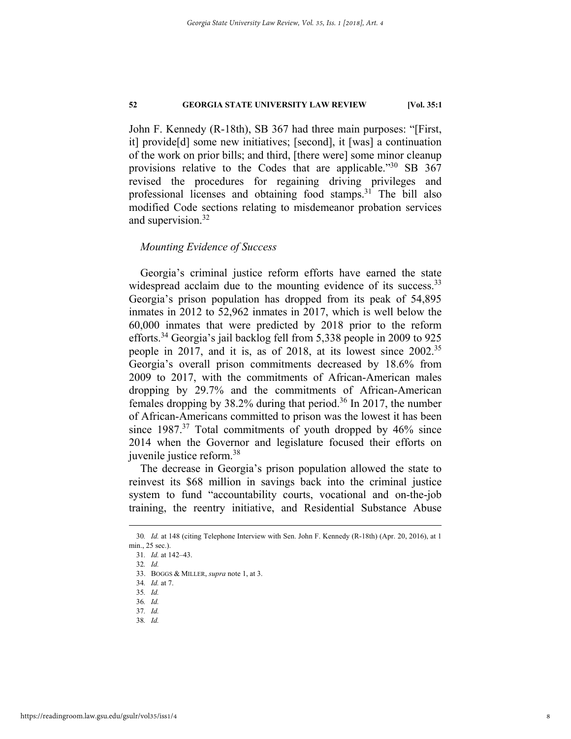John F. Kennedy (R-18th), SB 367 had three main purposes: "[First, it] provide[d] some new initiatives; [second], it [was] a continuation of the work on prior bills; and third, [there were] some minor cleanup provisions relative to the Codes that are applicable."<sup>30</sup> SB 367 revised the procedures for regaining driving privileges and professional licenses and obtaining food stamps.31 The bill also modified Code sections relating to misdemeanor probation services and supervision.<sup>32</sup>

### *Mounting Evidence of Success*

Georgia's criminal justice reform efforts have earned the state widespread acclaim due to the mounting evidence of its success.<sup>33</sup> Georgia's prison population has dropped from its peak of 54,895 inmates in 2012 to 52,962 inmates in 2017, which is well below the 60,000 inmates that were predicted by 2018 prior to the reform efforts.34 Georgia's jail backlog fell from 5,338 people in 2009 to 925 people in 2017, and it is, as of 2018, at its lowest since 2002.<sup>35</sup> Georgia's overall prison commitments decreased by 18.6% from 2009 to 2017, with the commitments of African-American males dropping by 29.7% and the commitments of African-American females dropping by 38.2% during that period.36 In 2017, the number of African-Americans committed to prison was the lowest it has been since  $1987<sup>37</sup>$  Total commitments of youth dropped by  $46\%$  since 2014 when the Governor and legislature focused their efforts on juvenile justice reform.<sup>38</sup>

The decrease in Georgia's prison population allowed the state to reinvest its \$68 million in savings back into the criminal justice system to fund "accountability courts, vocational and on-the-job training, the reentry initiative, and Residential Substance Abuse

 <sup>30</sup>*. Id.* at 148 (citing Telephone Interview with Sen. John F. Kennedy (R-18th) (Apr. 20, 2016), at 1 min., 25 sec.).

<sup>31</sup>*. Id.* at 142–43.

<sup>32</sup>*. Id.*

 <sup>33.</sup> BOGGS & MILLER, *supra* note 1, at 3.

<sup>34</sup>*. Id.* at 7.

<sup>35</sup>*. Id.*

<sup>36</sup>*. Id.*

<sup>37</sup>*. Id.*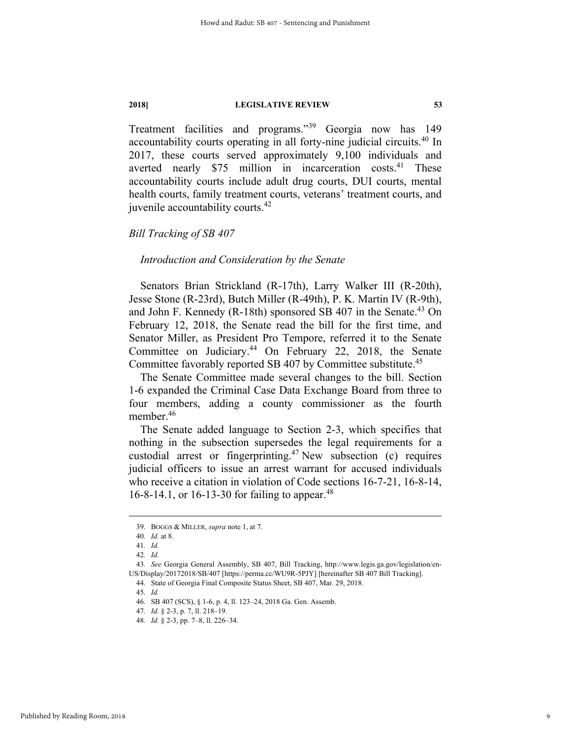Treatment facilities and programs."39 Georgia now has 149 accountability courts operating in all forty-nine judicial circuits.40 In 2017, these courts served approximately 9,100 individuals and averted nearly  $$75$  million in incarceration costs.<sup>41</sup> These accountability courts include adult drug courts, DUI courts, mental health courts, family treatment courts, veterans' treatment courts, and juvenile accountability courts.42

*Bill Tracking of SB 407* 

*Introduction and Consideration by the Senate* 

Senators Brian Strickland (R-17th), Larry Walker III (R-20th), Jesse Stone (R-23rd), Butch Miller (R-49th), P. K. Martin IV (R-9th), and John F. Kennedy  $(R-18th)$  sponsored SB 407 in the Senate.<sup>43</sup> On February 12, 2018, the Senate read the bill for the first time, and Senator Miller, as President Pro Tempore, referred it to the Senate Committee on Judiciary.44 On February 22, 2018, the Senate Committee favorably reported SB 407 by Committee substitute.<sup>45</sup>

The Senate Committee made several changes to the bill. Section 1-6 expanded the Criminal Case Data Exchange Board from three to four members, adding a county commissioner as the fourth member.46

The Senate added language to Section 2-3, which specifies that nothing in the subsection supersedes the legal requirements for a custodial arrest or fingerprinting.<sup>47</sup> New subsection (c) requires judicial officers to issue an arrest warrant for accused individuals who receive a citation in violation of Code sections 16-7-21, 16-8-14, 16-8-14.1, or 16-13-30 for failing to appear.<sup>48</sup>

44. State of Georgia Final Composite Status Sheet, SB 407, Mar. 29, 2018.

 <sup>39.</sup> BOGGS & MILLER, *supra* note 1, at 7.

<sup>40</sup>*. Id.* at 8.

<sup>41</sup>*. Id.*

<sup>42</sup>*. Id.*

<sup>43</sup>*. See* Georgia General Assembly, SB 407, Bill Tracking, http://www.legis.ga.gov/legislation/en-US/Display/20172018/SB/407 [https://perma.cc/WU9R-5PJY] [hereinafter SB 407 Bill Tracking].

<sup>45</sup>*. Id.*

 <sup>46.</sup> SB 407 (SCS), § 1-6, p. 4, ll. 123–24, 2018 Ga. Gen. Assemb.

<sup>47</sup>*. Id.* § 2-3, p. 7, ll. 218–19.

<sup>48</sup>*. Id.* § 2-3, pp. 7–8, ll. 226–34.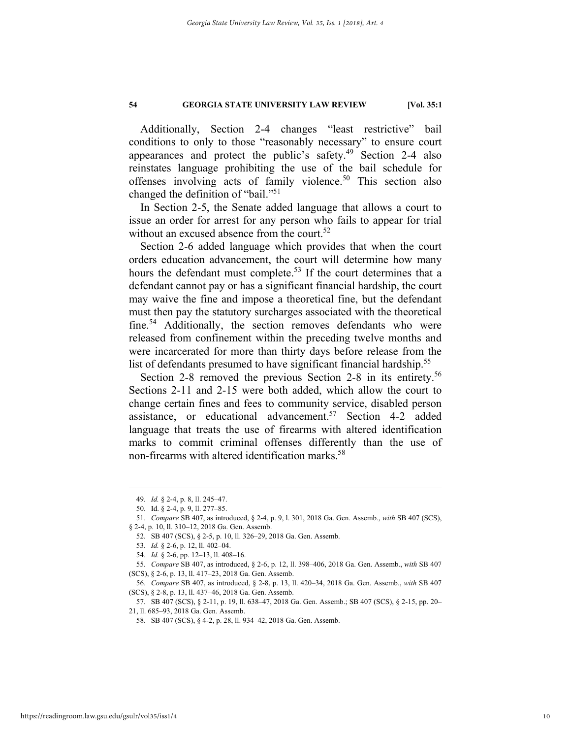Additionally, Section 2-4 changes "least restrictive" bail conditions to only to those "reasonably necessary" to ensure court appearances and protect the public's safety.<sup>49</sup> Section 2-4 also reinstates language prohibiting the use of the bail schedule for offenses involving acts of family violence.<sup>50</sup> This section also changed the definition of "bail."51

In Section 2-5, the Senate added language that allows a court to issue an order for arrest for any person who fails to appear for trial without an excused absence from the court.<sup>52</sup>

Section 2-6 added language which provides that when the court orders education advancement, the court will determine how many hours the defendant must complete.<sup>53</sup> If the court determines that a defendant cannot pay or has a significant financial hardship, the court may waive the fine and impose a theoretical fine, but the defendant must then pay the statutory surcharges associated with the theoretical fine.<sup>54</sup> Additionally, the section removes defendants who were released from confinement within the preceding twelve months and were incarcerated for more than thirty days before release from the list of defendants presumed to have significant financial hardship.<sup>55</sup>

Section 2-8 removed the previous Section 2-8 in its entirety.<sup>56</sup> Sections 2-11 and 2-15 were both added, which allow the court to change certain fines and fees to community service, disabled person assistance, or educational advancement.57 Section 4-2 added language that treats the use of firearms with altered identification marks to commit criminal offenses differently than the use of non-firearms with altered identification marks.<sup>58</sup>

 <sup>49</sup>*. Id.* § 2-4, p. 8, ll. 245–47.

 <sup>50.</sup> Id. § 2-4, p. 9, ll. 277–85.

<sup>51</sup>*. Compare* SB 407, as introduced, § 2-4, p. 9, l. 301, 2018 Ga. Gen. Assemb., *with* SB 407 (SCS), § 2-4, p. 10, ll. 310–12, 2018 Ga. Gen. Assemb.

 <sup>52.</sup> SB 407 (SCS), § 2-5, p. 10, ll. 326–29, 2018 Ga. Gen. Assemb.

<sup>53</sup>*. Id.* § 2-6, p. 12, ll. 402–04.

<sup>54</sup>*. Id.* § 2-6, pp. 12–13, ll. 408–16.

<sup>55</sup>*. Compare* SB 407, as introduced, § 2-6, p. 12, ll. 398–406, 2018 Ga. Gen. Assemb., *with* SB 407 (SCS), § 2-6, p. 13, ll. 417–23, 2018 Ga. Gen. Assemb.

<sup>56</sup>*. Compare* SB 407, as introduced, § 2-8, p. 13, ll. 420–34, 2018 Ga. Gen. Assemb., *with* SB 407 (SCS), § 2-8, p. 13, ll. 437–46, 2018 Ga. Gen. Assemb.

 <sup>57.</sup> SB 407 (SCS), § 2-11, p. 19, ll. 638–47, 2018 Ga. Gen. Assemb.; SB 407 (SCS), § 2-15, pp. 20– 21, ll. 685–93, 2018 Ga. Gen. Assemb.

 <sup>58.</sup> SB 407 (SCS), § 4-2, p. 28, ll. 934–42, 2018 Ga. Gen. Assemb.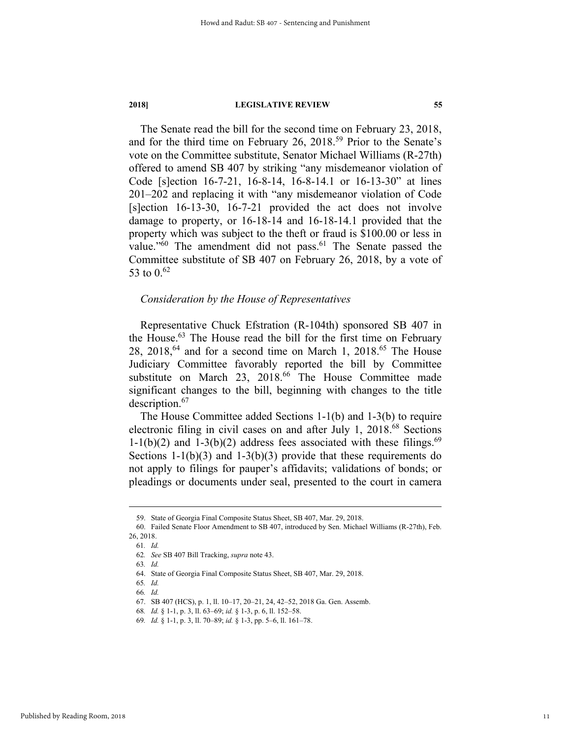The Senate read the bill for the second time on February 23, 2018, and for the third time on February 26,  $2018^{59}$  Prior to the Senate's vote on the Committee substitute, Senator Michael Williams (R-27th) offered to amend SB 407 by striking "any misdemeanor violation of Code [s]ection 16-7-21, 16-8-14, 16-8-14.1 or 16-13-30" at lines 201–202 and replacing it with "any misdemeanor violation of Code [s]ection 16-13-30, 16-7-21 provided the act does not involve damage to property, or 16-18-14 and 16-18-14.1 provided that the property which was subject to the theft or fraud is \$100.00 or less in value."<sup>60</sup> The amendment did not pass.<sup>61</sup> The Senate passed the Committee substitute of SB 407 on February 26, 2018, by a vote of 53 to  $0.62$ 

# *Consideration by the House of Representatives*

Representative Chuck Efstration (R-104th) sponsored SB 407 in the House.<sup>63</sup> The House read the bill for the first time on February 28, 2018,<sup>64</sup> and for a second time on March 1, 2018.<sup>65</sup> The House Judiciary Committee favorably reported the bill by Committee substitute on March 23, 2018.<sup>66</sup> The House Committee made significant changes to the bill, beginning with changes to the title description.<sup>67</sup>

The House Committee added Sections 1-1(b) and 1-3(b) to require electronic filing in civil cases on and after July 1, 2018.<sup>68</sup> Sections  $1-1(b)(2)$  and  $1-3(b)(2)$  address fees associated with these filings.<sup>69</sup> Sections  $1-1(b)(3)$  and  $1-3(b)(3)$  provide that these requirements do not apply to filings for pauper's affidavits; validations of bonds; or pleadings or documents under seal, presented to the court in camera

 <sup>59.</sup> State of Georgia Final Composite Status Sheet, SB 407, Mar. 29, 2018.

 <sup>60.</sup> Failed Senate Floor Amendment to SB 407, introduced by Sen. Michael Williams (R-27th), Feb. 26, 2018.

<sup>61</sup>*. Id.*

<sup>62</sup>*. See* SB 407 Bill Tracking, *supra* note 43.

<sup>63</sup>*. Id.*

 <sup>64.</sup> State of Georgia Final Composite Status Sheet, SB 407, Mar. 29, 2018.

<sup>65</sup>*. Id.*

<sup>66</sup>*. Id.*

 <sup>67.</sup> SB 407 (HCS), p. 1, ll. 10–17, 20–21, 24, 42–52, 2018 Ga. Gen. Assemb.

<sup>68</sup>*. Id.* § 1-1, p. 3, ll. 63–69; *id.* § 1-3, p. 6, ll. 152–58.

<sup>69</sup>*. Id.* § 1-1, p. 3, ll. 70–89; *id.* § 1-3, pp. 5–6, ll. 161–78.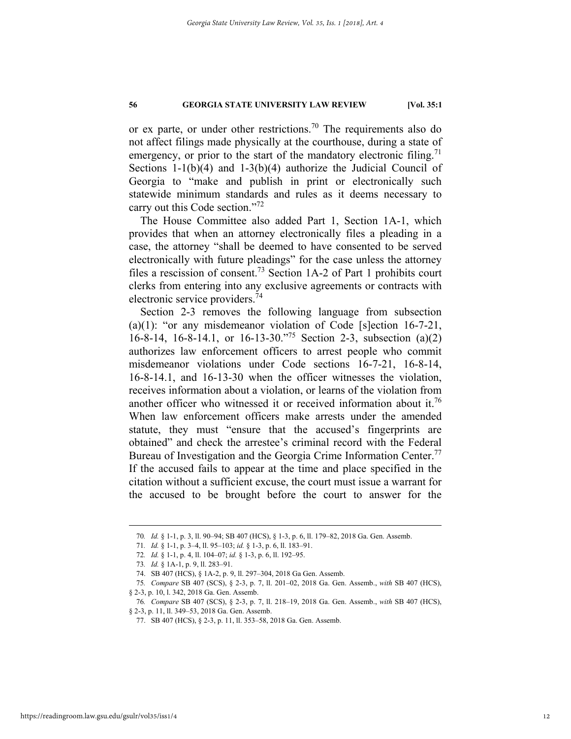or ex parte, or under other restrictions.<sup>70</sup> The requirements also do not affect filings made physically at the courthouse, during a state of emergency, or prior to the start of the mandatory electronic filing.<sup>71</sup> Sections 1-1(b)(4) and 1-3(b)(4) authorize the Judicial Council of Georgia to "make and publish in print or electronically such statewide minimum standards and rules as it deems necessary to carry out this Code section."<sup>72</sup>

The House Committee also added Part 1, Section 1A-1, which provides that when an attorney electronically files a pleading in a case, the attorney "shall be deemed to have consented to be served electronically with future pleadings" for the case unless the attorney files a rescission of consent.73 Section 1A-2 of Part 1 prohibits court clerks from entering into any exclusive agreements or contracts with electronic service providers.74

Section 2-3 removes the following language from subsection (a)(1): "or any misdemeanor violation of Code [s]ection 16-7-21, 16-8-14, 16-8-14.1, or 16-13-30."75 Section 2-3, subsection (a)(2) authorizes law enforcement officers to arrest people who commit misdemeanor violations under Code sections 16-7-21, 16-8-14, 16-8-14.1, and 16-13-30 when the officer witnesses the violation, receives information about a violation, or learns of the violation from another officer who witnessed it or received information about it.<sup>76</sup> When law enforcement officers make arrests under the amended statute, they must "ensure that the accused's fingerprints are obtained" and check the arrestee's criminal record with the Federal Bureau of Investigation and the Georgia Crime Information Center.<sup>77</sup> If the accused fails to appear at the time and place specified in the citation without a sufficient excuse, the court must issue a warrant for the accused to be brought before the court to answer for the

 <sup>70</sup>*. Id.* § 1-1, p. 3, ll. 90–94; SB 407 (HCS), § 1-3, p. 6, ll. 179–82, 2018 Ga. Gen. Assemb.

<sup>71</sup>*. Id.* § 1-1, p. 3–4, ll. 95–103; *id.* § 1-3, p. 6, ll. 183–91.

<sup>72</sup>*. Id.* § 1-1, p. 4, ll. 104–07; *id.* § 1-3, p. 6, ll. 192–95.

<sup>73</sup>*. Id.* § 1A-1, p. 9, ll. 283–91.

 <sup>74.</sup> SB 407 (HCS), § 1A-2, p. 9, ll. 297–304, 2018 Ga Gen. Assemb.

<sup>75</sup>*. Compare* SB 407 (SCS), § 2-3, p. 7, ll. 201–02, 2018 Ga. Gen. Assemb., *with* SB 407 (HCS), § 2-3, p. 10, l. 342, 2018 Ga. Gen. Assemb.

<sup>76</sup>*. Compare* SB 407 (SCS), § 2-3, p. 7, ll. 218–19, 2018 Ga. Gen. Assemb., *with* SB 407 (HCS), § 2-3, p. 11, ll. 349–53, 2018 Ga. Gen. Assemb.

 <sup>77.</sup> SB 407 (HCS), § 2-3, p. 11, ll. 353–58, 2018 Ga. Gen. Assemb.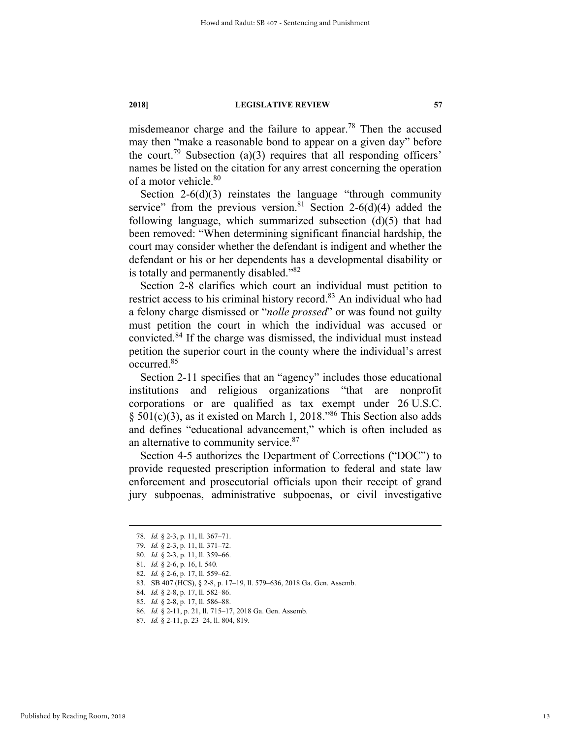misdemeanor charge and the failure to appear.<sup>78</sup> Then the accused may then "make a reasonable bond to appear on a given day" before the court.<sup>79</sup> Subsection (a)(3) requires that all responding officers' names be listed on the citation for any arrest concerning the operation of a motor vehicle.80

Section 2-6(d)(3) reinstates the language "through community service" from the previous version.<sup>81</sup> Section 2-6(d)(4) added the following language, which summarized subsection  $(d)(5)$  that had been removed: "When determining significant financial hardship, the court may consider whether the defendant is indigent and whether the defendant or his or her dependents has a developmental disability or is totally and permanently disabled."82

Section 2-8 clarifies which court an individual must petition to restrict access to his criminal history record.<sup>83</sup> An individual who had a felony charge dismissed or "*nolle prossed*" or was found not guilty must petition the court in which the individual was accused or convicted.84 If the charge was dismissed, the individual must instead petition the superior court in the county where the individual's arrest occurred.85

Section 2-11 specifies that an "agency" includes those educational institutions and religious organizations "that are nonprofit corporations or are qualified as tax exempt under 26 U.S.C.  $§ 501(c)(3)$ , as it existed on March 1, 2018.<sup>986</sup> This Section also adds and defines "educational advancement," which is often included as an alternative to community service.<sup>87</sup>

Section 4-5 authorizes the Department of Corrections ("DOC") to provide requested prescription information to federal and state law enforcement and prosecutorial officials upon their receipt of grand jury subpoenas, administrative subpoenas, or civil investigative

 <sup>78</sup>*. Id.* § 2-3, p. 11, ll. 367–71.

<sup>79</sup>*. Id.* § 2-3, p. 11, ll. 371–72.

<sup>80</sup>*. Id.* § 2-3, p. 11, ll. 359–66.

<sup>81</sup>*. Id.* § 2-6, p. 16, l. 540.

<sup>82</sup>*. Id.* § 2-6, p. 17, ll. 559–62.

 <sup>83.</sup> SB 407 (HCS), § 2-8, p. 17–19, ll. 579–636, 2018 Ga. Gen. Assemb.

<sup>84</sup>*. Id.* § 2-8, p. 17, ll. 582–86.

<sup>85</sup>*. Id.* § 2-8, p. 17, ll. 586–88.

<sup>86</sup>*. Id.* § 2-11, p. 21, ll. 715–17, 2018 Ga. Gen. Assemb.

<sup>87</sup>*. Id.* § 2-11, p. 23–24, ll. 804, 819.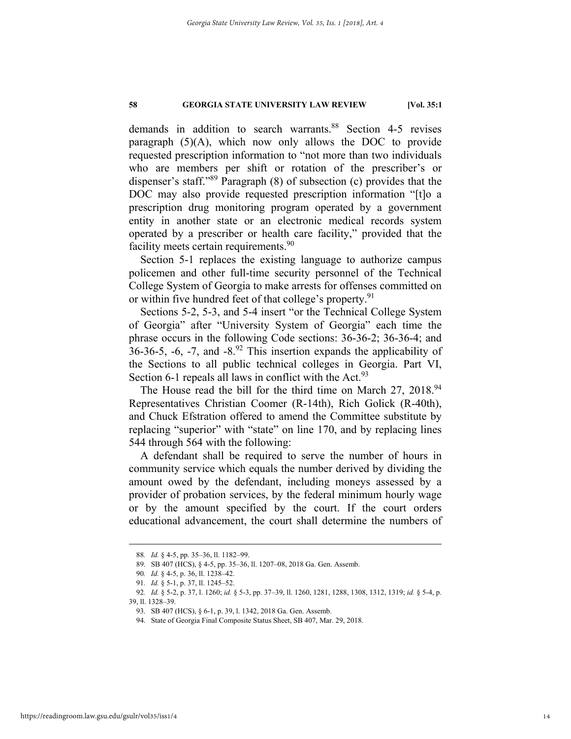demands in addition to search warrants.<sup>88</sup> Section 4-5 revises paragraph (5)(A), which now only allows the DOC to provide requested prescription information to "not more than two individuals who are members per shift or rotation of the prescriber's or dispenser's staff."89 Paragraph (8) of subsection (c) provides that the DOC may also provide requested prescription information "[t]o a prescription drug monitoring program operated by a government entity in another state or an electronic medical records system operated by a prescriber or health care facility," provided that the facility meets certain requirements.<sup>90</sup>

Section 5-1 replaces the existing language to authorize campus policemen and other full-time security personnel of the Technical College System of Georgia to make arrests for offenses committed on or within five hundred feet of that college's property.<sup>91</sup>

Sections 5-2, 5-3, and 5-4 insert "or the Technical College System of Georgia" after "University System of Georgia" each time the phrase occurs in the following Code sections: 36-36-2; 36-36-4; and 36-36-5, -6, -7, and -8. $92$  This insertion expands the applicability of the Sections to all public technical colleges in Georgia. Part VI, Section 6-1 repeals all laws in conflict with the Act.  $93$ 

The House read the bill for the third time on March 27, 2018.<sup>94</sup> Representatives Christian Coomer (R-14th), Rich Golick (R-40th), and Chuck Efstration offered to amend the Committee substitute by replacing "superior" with "state" on line 170, and by replacing lines 544 through 564 with the following:

A defendant shall be required to serve the number of hours in community service which equals the number derived by dividing the amount owed by the defendant, including moneys assessed by a provider of probation services, by the federal minimum hourly wage or by the amount specified by the court. If the court orders educational advancement, the court shall determine the numbers of

 <sup>88</sup>*. Id.* § 4-5, pp. 35–36, ll. 1182–99.

 <sup>89.</sup> SB 407 (HCS), § 4-5, pp. 35–36, ll. 1207–08, 2018 Ga. Gen. Assemb.

<sup>90</sup>*. Id.* § 4-5, p. 36, ll. 1238–42.

<sup>91</sup>*. Id.* § 5-1, p. 37, ll. 1245–52.

<sup>92</sup>*. Id.* § 5-2, p. 37, l. 1260; *id.* § 5-3, pp. 37–39, ll. 1260, 1281, 1288, 1308, 1312, 1319; *id.* § 5-4, p.

<sup>39,</sup> ll. 1328–39.

 <sup>93.</sup> SB 407 (HCS), § 6-1, p. 39, l. 1342, 2018 Ga. Gen. Assemb.

 <sup>94.</sup> State of Georgia Final Composite Status Sheet, SB 407, Mar. 29, 2018.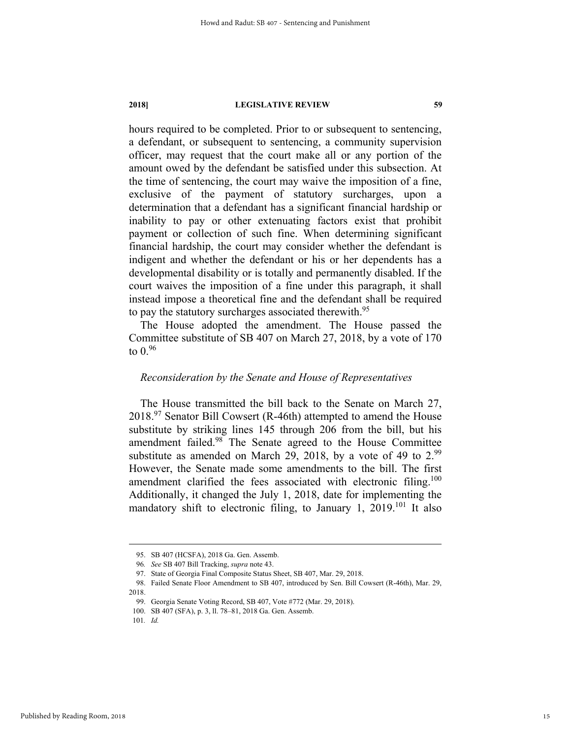hours required to be completed. Prior to or subsequent to sentencing, a defendant, or subsequent to sentencing, a community supervision officer, may request that the court make all or any portion of the amount owed by the defendant be satisfied under this subsection. At the time of sentencing, the court may waive the imposition of a fine, exclusive of the payment of statutory surcharges, upon a determination that a defendant has a significant financial hardship or inability to pay or other extenuating factors exist that prohibit payment or collection of such fine. When determining significant financial hardship, the court may consider whether the defendant is indigent and whether the defendant or his or her dependents has a developmental disability or is totally and permanently disabled. If the court waives the imposition of a fine under this paragraph, it shall instead impose a theoretical fine and the defendant shall be required to pay the statutory surcharges associated therewith.<sup>95</sup>

The House adopted the amendment. The House passed the Committee substitute of SB 407 on March 27, 2018, by a vote of 170 to  $0.96$ 

### *Reconsideration by the Senate and House of Representatives*

The House transmitted the bill back to the Senate on March 27,  $2018.<sup>97</sup>$  Senator Bill Cowsert (R-46th) attempted to amend the House substitute by striking lines 145 through 206 from the bill, but his amendment failed.98 The Senate agreed to the House Committee substitute as amended on March 29, 2018, by a vote of 49 to 2.99 However, the Senate made some amendments to the bill. The first amendment clarified the fees associated with electronic filing.<sup>100</sup> Additionally, it changed the July 1, 2018, date for implementing the mandatory shift to electronic filing, to January 1, 2019.<sup>101</sup> It also

 <sup>95.</sup> SB 407 (HCSFA), 2018 Ga. Gen. Assemb.

<sup>96</sup>*. See* SB 407 Bill Tracking, *supra* note 43.

 <sup>97.</sup> State of Georgia Final Composite Status Sheet, SB 407, Mar. 29, 2018.

 <sup>98.</sup> Failed Senate Floor Amendment to SB 407, introduced by Sen. Bill Cowsert (R-46th), Mar. 29, 2018.

 <sup>99.</sup> Georgia Senate Voting Record, SB 407, Vote #772 (Mar. 29, 2018).

 <sup>100.</sup> SB 407 (SFA), p. 3, ll. 78–81, 2018 Ga. Gen. Assemb.

<sup>101</sup>*. Id.*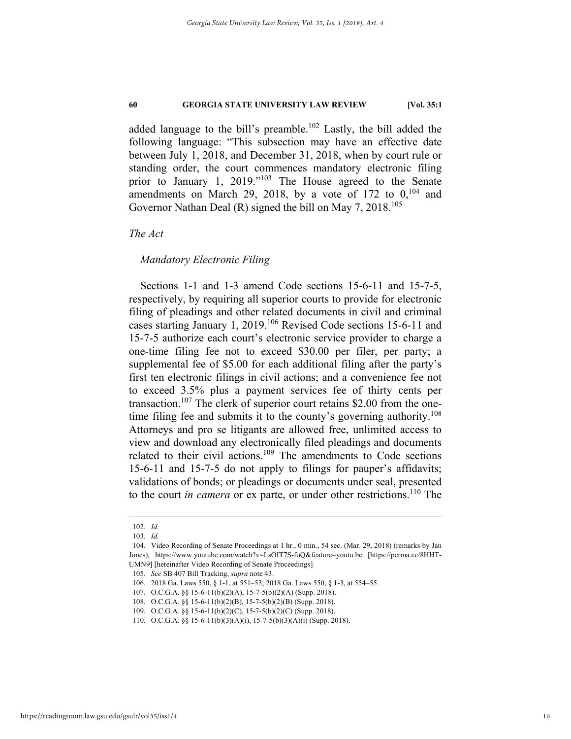added language to the bill's preamble.<sup>102</sup> Lastly, the bill added the following language: "This subsection may have an effective date between July 1, 2018, and December 31, 2018, when by court rule or standing order, the court commences mandatory electronic filing prior to January 1, 2019."<sup>103</sup> The House agreed to the Senate amendments on March 29, 2018, by a vote of 172 to  $0$ ,  $104$  and Governor Nathan Deal  $(R)$  signed the bill on May 7, 2018.<sup>105</sup>

*The Act* 

### *Mandatory Electronic Filing*

Sections 1-1 and 1-3 amend Code sections 15-6-11 and 15-7-5, respectively, by requiring all superior courts to provide for electronic filing of pleadings and other related documents in civil and criminal cases starting January 1, 2019.106 Revised Code sections 15-6-11 and 15-7-5 authorize each court's electronic service provider to charge a one-time filing fee not to exceed \$30.00 per filer, per party; a supplemental fee of \$5.00 for each additional filing after the party's first ten electronic filings in civil actions; and a convenience fee not to exceed 3.5% plus a payment services fee of thirty cents per transaction.<sup>107</sup> The clerk of superior court retains \$2.00 from the onetime filing fee and submits it to the county's governing authority.<sup>108</sup> Attorneys and pro se litigants are allowed free, unlimited access to view and download any electronically filed pleadings and documents related to their civil actions.<sup>109</sup> The amendments to Code sections 15-6-11 and 15-7-5 do not apply to filings for pauper's affidavits; validations of bonds; or pleadings or documents under seal, presented to the court *in camera* or ex parte, or under other restrictions.110 The

 <sup>102</sup>*. Id.*

<sup>103</sup>*. Id.*

 <sup>104.</sup> Video Recording of Senate Proceedings at 1 hr., 0 min., 54 sec. (Mar. 29, 2018) (remarks by Jan Jones), https://www.youtube.com/watch?v=LsOIT7S-foQ&feature=youtu.be [https://perma.cc/8HHT-UMN9] [hereinafter Video Recording of Senate Proceedings].

<sup>105</sup>*. See* SB 407 Bill Tracking, *supra* note 43.

 <sup>106. 2018</sup> Ga. Laws 550, § 1-1, at 551–53; 2018 Ga. Laws 550, § 1-3, at 554–55.

 <sup>107.</sup> O.C.G.A. §§ 15-6-11(b)(2)(A), 15-7-5(b)(2)(A) (Supp. 2018).

 <sup>108.</sup> O.C.G.A. §§ 15-6-11(b)(2)(B), 15-7-5(b)(2)(B) (Supp. 2018).

 <sup>109.</sup> O.C.G.A. §§ 15-6-11(b)(2)(C), 15-7-5(b)(2)(C) (Supp. 2018).

 <sup>110.</sup> O.C.G.A. §§ 15-6-11(b)(3)(A)(i), 15-7-5(b)(3)(A)(i) (Supp. 2018).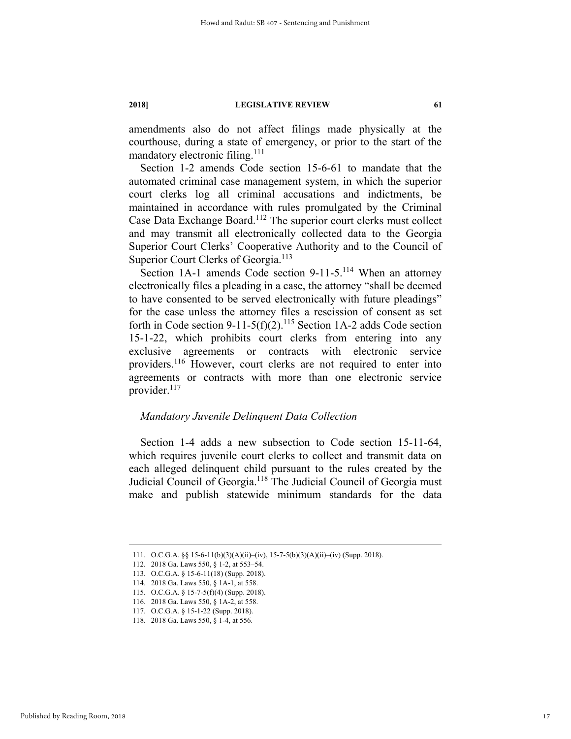amendments also do not affect filings made physically at the courthouse, during a state of emergency, or prior to the start of the mandatory electronic filing.<sup>111</sup>

Section 1-2 amends Code section 15-6-61 to mandate that the automated criminal case management system, in which the superior court clerks log all criminal accusations and indictments, be maintained in accordance with rules promulgated by the Criminal Case Data Exchange Board.112 The superior court clerks must collect and may transmit all electronically collected data to the Georgia Superior Court Clerks' Cooperative Authority and to the Council of Superior Court Clerks of Georgia.<sup>113</sup>

Section 1A-1 amends Code section 9-11-5.<sup>114</sup> When an attorney electronically files a pleading in a case, the attorney "shall be deemed to have consented to be served electronically with future pleadings" for the case unless the attorney files a rescission of consent as set forth in Code section 9-11-5(f)(2).<sup>115</sup> Section 1A-2 adds Code section 15-1-22, which prohibits court clerks from entering into any exclusive agreements or contracts with electronic service providers.116 However, court clerks are not required to enter into agreements or contracts with more than one electronic service provider.<sup>117</sup>

## *Mandatory Juvenile Delinquent Data Collection*

Section 1-4 adds a new subsection to Code section 15-11-64, which requires juvenile court clerks to collect and transmit data on each alleged delinquent child pursuant to the rules created by the Judicial Council of Georgia.<sup>118</sup> The Judicial Council of Georgia must make and publish statewide minimum standards for the data

 <sup>111.</sup> O.C.G.A. §§ 15-6-11(b)(3)(A)(ii)–(iv), 15-7-5(b)(3)(A)(ii)–(iv) (Supp. 2018).

 <sup>112. 2018</sup> Ga. Laws 550, § 1-2, at 553–54.

 <sup>113.</sup> O.C.G.A. § 15-6-11(18) (Supp. 2018).

 <sup>114. 2018</sup> Ga. Laws 550, § 1A-1, at 558.

 <sup>115.</sup> O.C.G.A. § 15-7-5(f)(4) (Supp. 2018).

 <sup>116. 2018</sup> Ga. Laws 550, § 1A-2, at 558.

 <sup>117.</sup> O.C.G.A. § 15-1-22 (Supp. 2018).

 <sup>118. 2018</sup> Ga. Laws 550, § 1-4, at 556.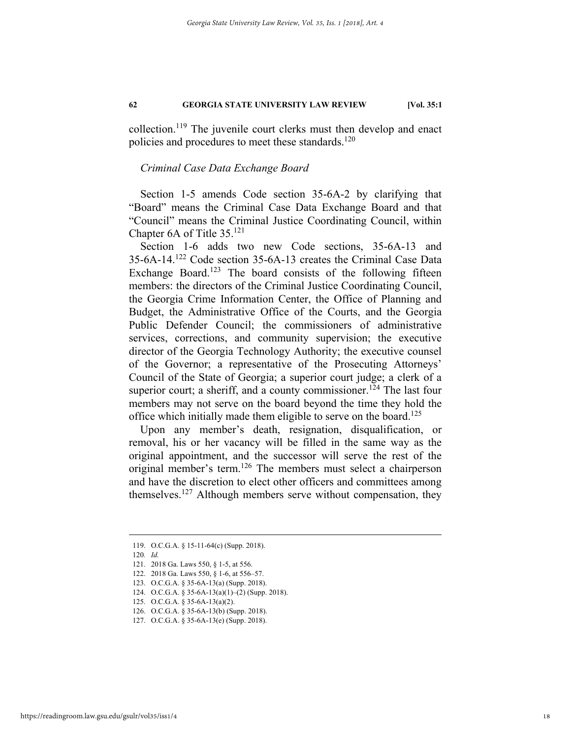collection.119 The juvenile court clerks must then develop and enact policies and procedures to meet these standards.<sup>120</sup>

# *Criminal Case Data Exchange Board*

Section 1-5 amends Code section 35-6A-2 by clarifying that "Board" means the Criminal Case Data Exchange Board and that "Council" means the Criminal Justice Coordinating Council, within Chapter 6A of Title 35.121

Section 1-6 adds two new Code sections, 35-6A-13 and 35-6A-14.122 Code section 35-6A-13 creates the Criminal Case Data Exchange Board.<sup>123</sup> The board consists of the following fifteen members: the directors of the Criminal Justice Coordinating Council, the Georgia Crime Information Center, the Office of Planning and Budget, the Administrative Office of the Courts, and the Georgia Public Defender Council; the commissioners of administrative services, corrections, and community supervision; the executive director of the Georgia Technology Authority; the executive counsel of the Governor; a representative of the Prosecuting Attorneys' Council of the State of Georgia; a superior court judge; a clerk of a superior court; a sheriff, and a county commissioner.<sup>124</sup> The last four members may not serve on the board beyond the time they hold the office which initially made them eligible to serve on the board.<sup>125</sup>

Upon any member's death, resignation, disqualification, or removal, his or her vacancy will be filled in the same way as the original appointment, and the successor will serve the rest of the original member's term.126 The members must select a chairperson and have the discretion to elect other officers and committees among themselves.127 Although members serve without compensation, they

 <sup>119.</sup> O.C.G.A. § 15-11-64(c) (Supp. 2018).

<sup>120</sup>*. Id.*

 <sup>121. 2018</sup> Ga. Laws 550, § 1-5, at 556.

 <sup>122. 2018</sup> Ga. Laws 550, § 1-6, at 556–57.

 <sup>123.</sup> O.C.G.A. § 35-6A-13(a) (Supp. 2018).

 <sup>124.</sup> O.C.G.A. § 35-6A-13(a)(1)–(2) (Supp. 2018).

 <sup>125.</sup> O.C.G.A. § 35-6A-13(a)(2).

 <sup>126.</sup> O.C.G.A. § 35-6A-13(b) (Supp. 2018).

 <sup>127.</sup> O.C.G.A. § 35-6A-13(e) (Supp. 2018).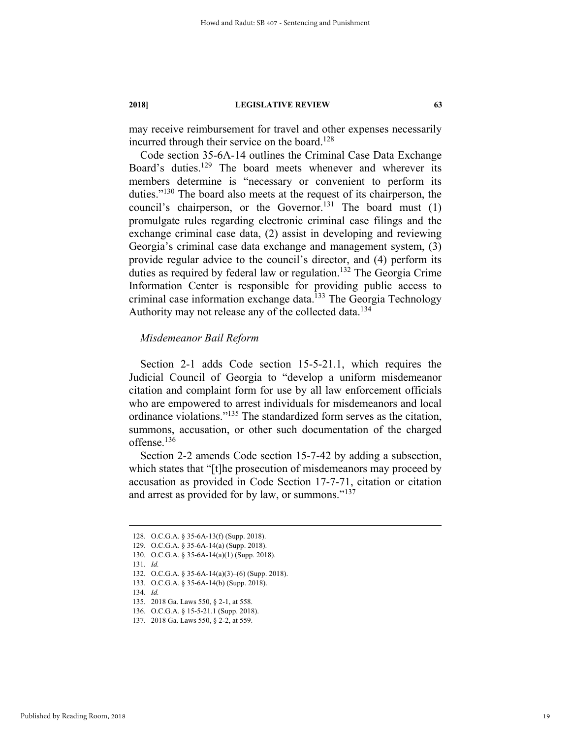may receive reimbursement for travel and other expenses necessarily incurred through their service on the board.<sup>128</sup>

Code section 35-6A-14 outlines the Criminal Case Data Exchange Board's duties.129 The board meets whenever and wherever its members determine is "necessary or convenient to perform its duties."130 The board also meets at the request of its chairperson, the council's chairperson, or the Governor.<sup>131</sup> The board must  $(1)$ promulgate rules regarding electronic criminal case filings and the exchange criminal case data, (2) assist in developing and reviewing Georgia's criminal case data exchange and management system, (3) provide regular advice to the council's director, and (4) perform its duties as required by federal law or regulation.<sup>132</sup> The Georgia Crime Information Center is responsible for providing public access to criminal case information exchange data.<sup>133</sup> The Georgia Technology Authority may not release any of the collected data.<sup>134</sup>

# *Misdemeanor Bail Reform*

Section 2-1 adds Code section 15-5-21.1, which requires the Judicial Council of Georgia to "develop a uniform misdemeanor citation and complaint form for use by all law enforcement officials who are empowered to arrest individuals for misdemeanors and local ordinance violations."135 The standardized form serves as the citation, summons, accusation, or other such documentation of the charged offense.<sup>136</sup>

Section 2-2 amends Code section 15-7-42 by adding a subsection, which states that "[t]he prosecution of misdemeanors may proceed by accusation as provided in Code Section 17-7-71, citation or citation and arrest as provided for by law, or summons."<sup>137</sup>

131*. Id.*

134*. Id.*

 <sup>128.</sup> O.C.G.A. § 35-6A-13(f) (Supp. 2018).

 <sup>129.</sup> O.C.G.A. § 35-6A-14(a) (Supp. 2018).

 <sup>130.</sup> O.C.G.A. § 35-6A-14(a)(1) (Supp. 2018).

 <sup>132.</sup> O.C.G.A. § 35-6A-14(a)(3)–(6) (Supp. 2018).

 <sup>133.</sup> O.C.G.A. § 35-6A-14(b) (Supp. 2018).

 <sup>135. 2018</sup> Ga. Laws 550, § 2-1, at 558.

 <sup>136.</sup> O.C.G.A. § 15-5-21.1 (Supp. 2018).

 <sup>137. 2018</sup> Ga. Laws 550, § 2-2, at 559.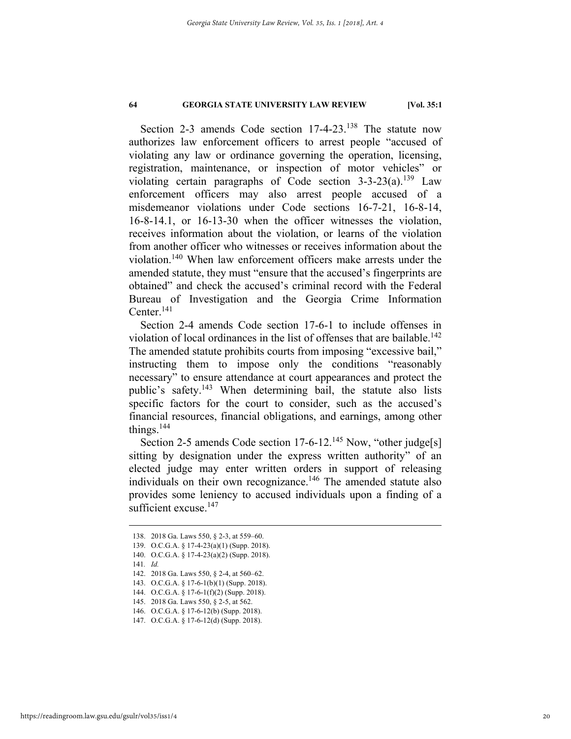Section 2-3 amends Code section 17-4-23.<sup>138</sup> The statute now authorizes law enforcement officers to arrest people "accused of violating any law or ordinance governing the operation, licensing, registration, maintenance, or inspection of motor vehicles" or violating certain paragraphs of Code section  $3-3-23(a)$ .<sup>139</sup> Law enforcement officers may also arrest people accused of a misdemeanor violations under Code sections 16-7-21, 16-8-14, 16-8-14.1, or 16-13-30 when the officer witnesses the violation, receives information about the violation, or learns of the violation from another officer who witnesses or receives information about the violation.140 When law enforcement officers make arrests under the amended statute, they must "ensure that the accused's fingerprints are obtained" and check the accused's criminal record with the Federal Bureau of Investigation and the Georgia Crime Information Center.<sup>141</sup>

Section 2-4 amends Code section 17-6-1 to include offenses in violation of local ordinances in the list of offenses that are bailable.<sup>142</sup> The amended statute prohibits courts from imposing "excessive bail," instructing them to impose only the conditions "reasonably necessary" to ensure attendance at court appearances and protect the public's safety.143 When determining bail, the statute also lists specific factors for the court to consider, such as the accused's financial resources, financial obligations, and earnings, among other things.144

Section 2-5 amends Code section  $17-6-12$ .<sup>145</sup> Now, "other judge[s] sitting by designation under the express written authority" of an elected judge may enter written orders in support of releasing individuals on their own recognizance.<sup>146</sup> The amended statute also provides some leniency to accused individuals upon a finding of a sufficient excuse.<sup>147</sup>

- 139. O.C.G.A. § 17-4-23(a)(1) (Supp. 2018).
- 140. O.C.G.A. § 17-4-23(a)(2) (Supp. 2018).
- 141*. Id.*

- 143. O.C.G.A. § 17-6-1(b)(1) (Supp. 2018).
- 144. O.C.G.A. § 17-6-1(f)(2) (Supp. 2018).
- 145. 2018 Ga. Laws 550, § 2-5, at 562.
- 146. O.C.G.A. § 17-6-12(b) (Supp. 2018).
- 147. O.C.G.A. § 17-6-12(d) (Supp. 2018).

 <sup>138. 2018</sup> Ga. Laws 550, § 2-3, at 559–60.

 <sup>142. 2018</sup> Ga. Laws 550, § 2-4, at 560–62.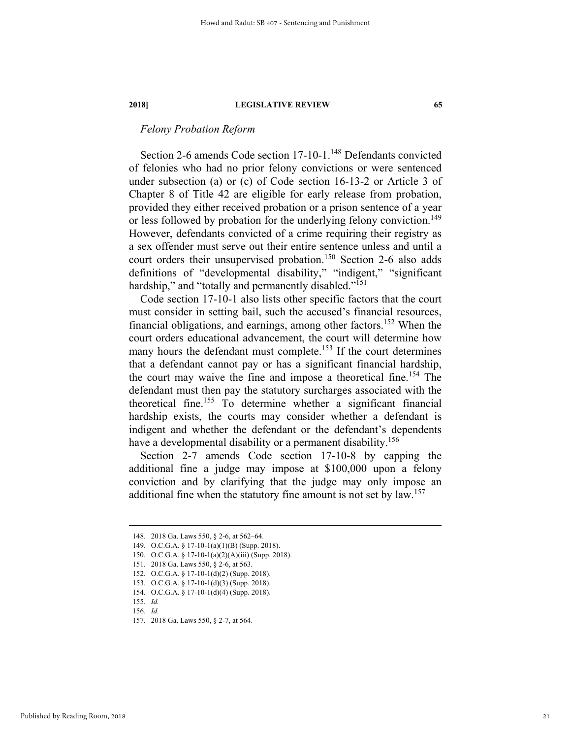# *Felony Probation Reform*

Section 2-6 amends Code section 17-10-1.<sup>148</sup> Defendants convicted of felonies who had no prior felony convictions or were sentenced under subsection (a) or (c) of Code section 16-13-2 or Article 3 of Chapter 8 of Title 42 are eligible for early release from probation, provided they either received probation or a prison sentence of a year or less followed by probation for the underlying felony conviction.<sup>149</sup> However, defendants convicted of a crime requiring their registry as a sex offender must serve out their entire sentence unless and until a court orders their unsupervised probation.<sup>150</sup> Section 2-6 also adds definitions of "developmental disability," "indigent," "significant hardship," and "totally and permanently disabled."<sup>151</sup>

Code section 17-10-1 also lists other specific factors that the court must consider in setting bail, such the accused's financial resources, financial obligations, and earnings, among other factors.152 When the court orders educational advancement, the court will determine how many hours the defendant must complete.<sup>153</sup> If the court determines that a defendant cannot pay or has a significant financial hardship, the court may waive the fine and impose a theoretical fine.<sup>154</sup> The defendant must then pay the statutory surcharges associated with the theoretical fine.155 To determine whether a significant financial hardship exists, the courts may consider whether a defendant is indigent and whether the defendant or the defendant's dependents have a developmental disability or a permanent disability.<sup>156</sup>

Section 2-7 amends Code section 17-10-8 by capping the additional fine a judge may impose at \$100,000 upon a felony conviction and by clarifying that the judge may only impose an additional fine when the statutory fine amount is not set by law.<sup>157</sup>

 <sup>148. 2018</sup> Ga. Laws 550, § 2-6, at 562–64.

 <sup>149.</sup> O.C.G.A. § 17-10-1(a)(1)(B) (Supp. 2018).

 <sup>150.</sup> O.C.G.A. § 17-10-1(a)(2)(A)(iii) (Supp. 2018).

 <sup>151. 2018</sup> Ga. Laws 550, § 2-6, at 563.

 <sup>152.</sup> O.C.G.A. § 17-10-1(d)(2) (Supp. 2018).

 <sup>153.</sup> O.C.G.A. § 17-10-1(d)(3) (Supp. 2018).

 <sup>154.</sup> O.C.G.A. § 17-10-1(d)(4) (Supp. 2018).

<sup>155</sup>*. Id.*

<sup>156</sup>*. Id.*

 <sup>157. 2018</sup> Ga. Laws 550, § 2-7, at 564.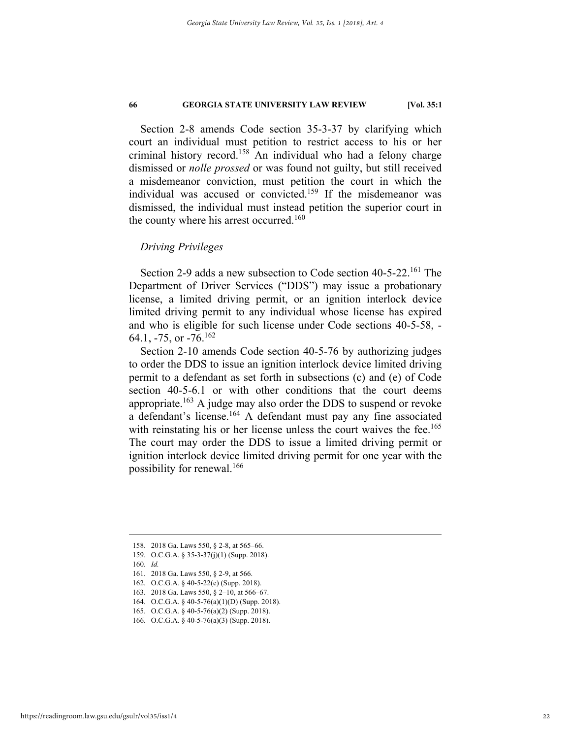Section 2-8 amends Code section 35-3-37 by clarifying which court an individual must petition to restrict access to his or her criminal history record.158 An individual who had a felony charge dismissed or *nolle prossed* or was found not guilty, but still received a misdemeanor conviction, must petition the court in which the individual was accused or convicted.<sup>159</sup> If the misdemeanor was dismissed, the individual must instead petition the superior court in the county where his arrest occurred.<sup>160</sup>

### *Driving Privileges*

Section 2-9 adds a new subsection to Code section 40-5-22.<sup>161</sup> The Department of Driver Services ("DDS") may issue a probationary license, a limited driving permit, or an ignition interlock device limited driving permit to any individual whose license has expired and who is eligible for such license under Code sections 40-5-58, - 64.1,  $-75$ , or  $-76$ .<sup>162</sup>

Section 2-10 amends Code section 40-5-76 by authorizing judges to order the DDS to issue an ignition interlock device limited driving permit to a defendant as set forth in subsections (c) and (e) of Code section 40-5-6.1 or with other conditions that the court deems appropriate.<sup>163</sup> A judge may also order the DDS to suspend or revoke a defendant's license.<sup>164</sup> A defendant must pay any fine associated with reinstating his or her license unless the court waives the fee.<sup>165</sup> The court may order the DDS to issue a limited driving permit or ignition interlock device limited driving permit for one year with the possibility for renewal.166

 <sup>158. 2018</sup> Ga. Laws 550, § 2-8, at 565–66.

 <sup>159.</sup> O.C.G.A. § 35-3-37(j)(1) (Supp. 2018).

<sup>160</sup>*. Id.*

 <sup>161. 2018</sup> Ga. Laws 550, § 2-9, at 566.

 <sup>162.</sup> O.C.G.A. § 40-5-22(e) (Supp. 2018).

 <sup>163. 2018</sup> Ga. Laws 550, § 2–10, at 566–67.

 <sup>164.</sup> O.C.G.A. § 40-5-76(a)(1)(D) (Supp. 2018).

 <sup>165.</sup> O.C.G.A. § 40-5-76(a)(2) (Supp. 2018).

 <sup>166.</sup> O.C.G.A. § 40-5-76(a)(3) (Supp. 2018).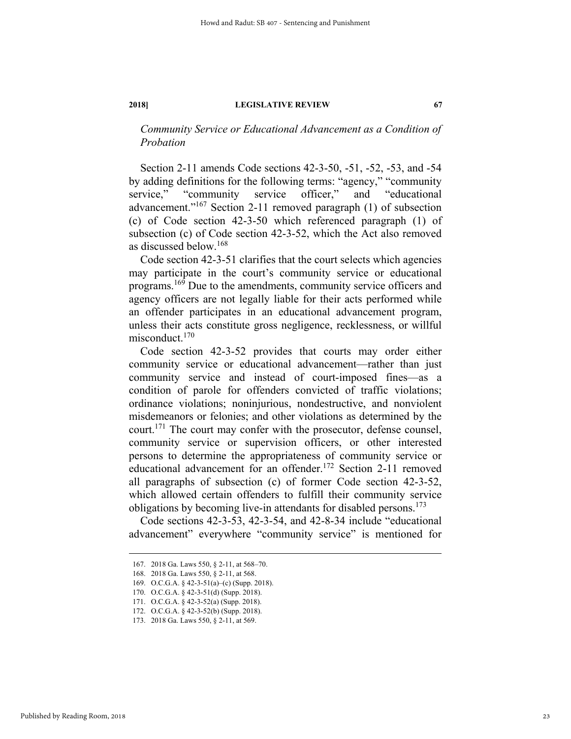*Community Service or Educational Advancement as a Condition of Probation* 

Section 2-11 amends Code sections 42-3-50, -51, -52, -53, and -54 by adding definitions for the following terms: "agency," "community service," "community service officer," and "educational advancement."167 Section 2-11 removed paragraph (1) of subsection (c) of Code section 42-3-50 which referenced paragraph (1) of subsection (c) of Code section 42-3-52, which the Act also removed as discussed below.<sup>168</sup>

Code section 42-3-51 clarifies that the court selects which agencies may participate in the court's community service or educational programs.169 Due to the amendments, community service officers and agency officers are not legally liable for their acts performed while an offender participates in an educational advancement program, unless their acts constitute gross negligence, recklessness, or willful misconduct.170

Code section 42-3-52 provides that courts may order either community service or educational advancement—rather than just community service and instead of court-imposed fines—as a condition of parole for offenders convicted of traffic violations; ordinance violations; noninjurious, nondestructive, and nonviolent misdemeanors or felonies; and other violations as determined by the court.171 The court may confer with the prosecutor, defense counsel, community service or supervision officers, or other interested persons to determine the appropriateness of community service or educational advancement for an offender.172 Section 2-11 removed all paragraphs of subsection (c) of former Code section 42-3-52, which allowed certain offenders to fulfill their community service obligations by becoming live-in attendants for disabled persons.<sup>173</sup>

Code sections 42-3-53, 42-3-54, and 42-8-34 include "educational advancement" everywhere "community service" is mentioned for

 <sup>167. 2018</sup> Ga. Laws 550, § 2-11, at 568–70.

 <sup>168. 2018</sup> Ga. Laws 550, § 2-11, at 568.

 <sup>169.</sup> O.C.G.A. § 42-3-51(a)–(c) (Supp. 2018).

 <sup>170.</sup> O.C.G.A. § 42-3-51(d) (Supp. 2018).

 <sup>171.</sup> O.C.G.A. § 42-3-52(a) (Supp. 2018).

 <sup>172.</sup> O.C.G.A. § 42-3-52(b) (Supp. 2018).

 <sup>173. 2018</sup> Ga. Laws 550, § 2-11, at 569.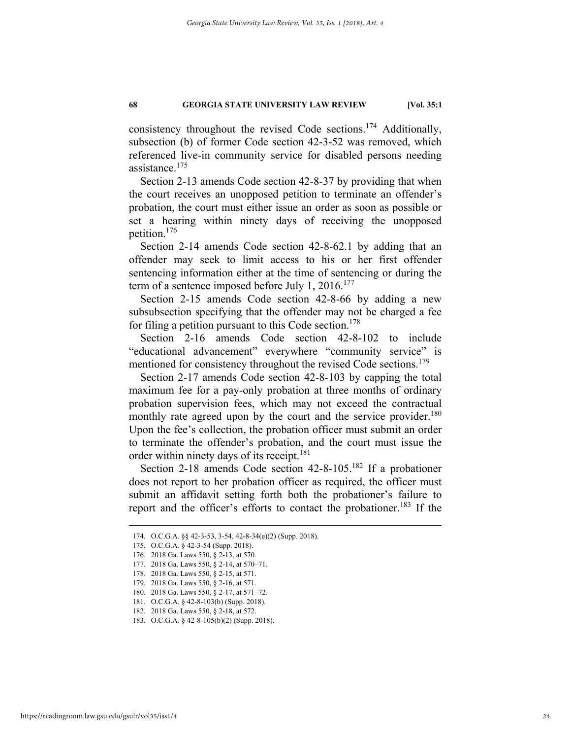consistency throughout the revised Code sections.174 Additionally, subsection (b) of former Code section 42-3-52 was removed, which referenced live-in community service for disabled persons needing assistance.175

Section 2-13 amends Code section 42-8-37 by providing that when the court receives an unopposed petition to terminate an offender's probation, the court must either issue an order as soon as possible or set a hearing within ninety days of receiving the unopposed petition.176

Section 2-14 amends Code section 42-8-62.1 by adding that an offender may seek to limit access to his or her first offender sentencing information either at the time of sentencing or during the term of a sentence imposed before July 1,  $2016$ <sup>177</sup>

Section 2-15 amends Code section 42-8-66 by adding a new subsubsection specifying that the offender may not be charged a fee for filing a petition pursuant to this Code section.<sup>178</sup>

Section 2-16 amends Code section 42-8-102 to include "educational advancement" everywhere "community service" is mentioned for consistency throughout the revised Code sections.<sup>179</sup>

Section 2-17 amends Code section 42-8-103 by capping the total maximum fee for a pay-only probation at three months of ordinary probation supervision fees, which may not exceed the contractual monthly rate agreed upon by the court and the service provider.<sup>180</sup> Upon the fee's collection, the probation officer must submit an order to terminate the offender's probation, and the court must issue the order within ninety days of its receipt.<sup>181</sup>

Section 2-18 amends Code section 42-8-105.<sup>182</sup> If a probationer does not report to her probation officer as required, the officer must submit an affidavit setting forth both the probationer's failure to report and the officer's efforts to contact the probationer.<sup>183</sup> If the

 <sup>174.</sup> O.C.G.A. §§ 42-3-53, 3-54, 42-8-34(e)(2) (Supp. 2018).

 <sup>175.</sup> O.C.G.A. § 42-3-54 (Supp. 2018).

 <sup>176. 2018</sup> Ga. Laws 550, § 2-13, at 570.

 <sup>177. 2018</sup> Ga. Laws 550, § 2-14, at 570–71.

 <sup>178. 2018</sup> Ga. Laws 550, § 2-15, at 571.

 <sup>179. 2018</sup> Ga. Laws 550, § 2-16, at 571.

 <sup>180. 2018</sup> Ga. Laws 550, § 2-17, at 571–72.

 <sup>181.</sup> O.C.G.A. § 42-8-103(b) (Supp. 2018).

 <sup>182. 2018</sup> Ga. Laws 550, § 2-18, at 572.

 <sup>183.</sup> O.C.G.A. § 42-8-105(b)(2) (Supp. 2018).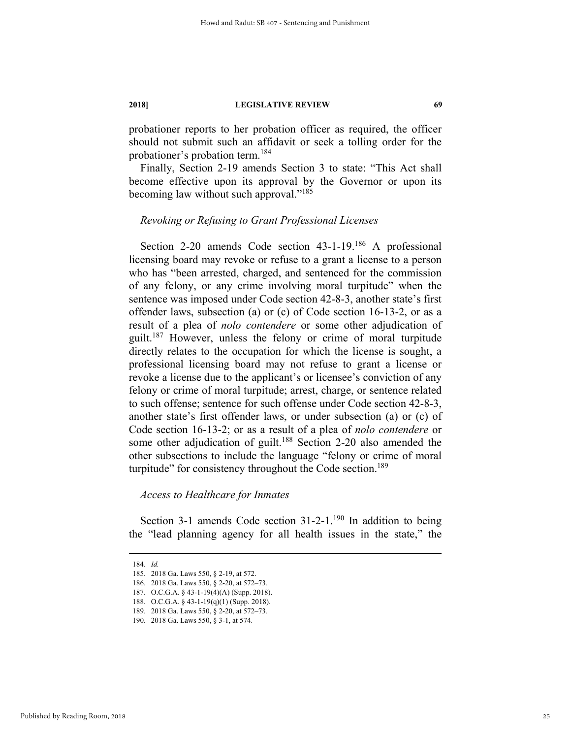probationer reports to her probation officer as required, the officer should not submit such an affidavit or seek a tolling order for the probationer's probation term.<sup>184</sup>

Finally, Section 2-19 amends Section 3 to state: "This Act shall become effective upon its approval by the Governor or upon its becoming law without such approval."<sup>185</sup>

# *Revoking or Refusing to Grant Professional Licenses*

Section 2-20 amends Code section 43-1-19.186 A professional licensing board may revoke or refuse to a grant a license to a person who has "been arrested, charged, and sentenced for the commission of any felony, or any crime involving moral turpitude" when the sentence was imposed under Code section 42-8-3, another state's first offender laws, subsection (a) or (c) of Code section 16-13-2, or as a result of a plea of *nolo contendere* or some other adjudication of guilt.187 However, unless the felony or crime of moral turpitude directly relates to the occupation for which the license is sought, a professional licensing board may not refuse to grant a license or revoke a license due to the applicant's or licensee's conviction of any felony or crime of moral turpitude; arrest, charge, or sentence related to such offense; sentence for such offense under Code section 42-8-3, another state's first offender laws, or under subsection (a) or (c) of Code section 16-13-2; or as a result of a plea of *nolo contendere* or some other adjudication of guilt.<sup>188</sup> Section 2-20 also amended the other subsections to include the language "felony or crime of moral turpitude" for consistency throughout the Code section.<sup>189</sup>

### *Access to Healthcare for Inmates*

Section 3-1 amends Code section  $31-2-1$ .<sup>190</sup> In addition to being the "lead planning agency for all health issues in the state," the

 <sup>184</sup>*. Id.*

 <sup>185. 2018</sup> Ga. Laws 550, § 2-19, at 572.

 <sup>186. 2018</sup> Ga. Laws 550, § 2-20, at 572–73.

 <sup>187.</sup> O.C.G.A. § 43-1-19(4)(A) (Supp. 2018).

 <sup>188.</sup> O.C.G.A. § 43-1-19(q)(1) (Supp. 2018).

 <sup>189. 2018</sup> Ga. Laws 550, § 2-20, at 572–73.

 <sup>190. 2018</sup> Ga. Laws 550, § 3-1, at 574.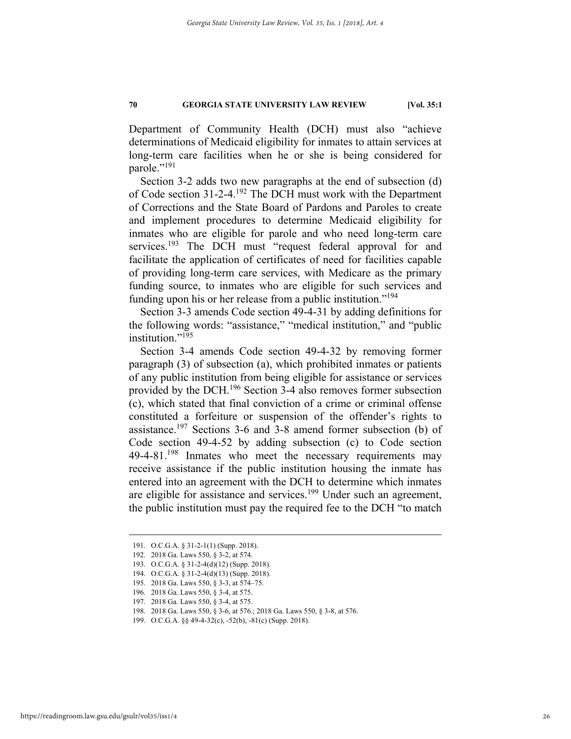Department of Community Health (DCH) must also "achieve determinations of Medicaid eligibility for inmates to attain services at long-term care facilities when he or she is being considered for parole."<sup>191</sup>

Section 3-2 adds two new paragraphs at the end of subsection (d) of Code section 31-2-4.192 The DCH must work with the Department of Corrections and the State Board of Pardons and Paroles to create and implement procedures to determine Medicaid eligibility for inmates who are eligible for parole and who need long-term care services.<sup>193</sup> The DCH must "request federal approval for and facilitate the application of certificates of need for facilities capable of providing long-term care services, with Medicare as the primary funding source, to inmates who are eligible for such services and funding upon his or her release from a public institution."<sup>194</sup>

Section 3-3 amends Code section 49-4-31 by adding definitions for the following words: "assistance," "medical institution," and "public institution."<sup>195</sup>

Section 3-4 amends Code section 49-4-32 by removing former paragraph (3) of subsection (a), which prohibited inmates or patients of any public institution from being eligible for assistance or services provided by the DCH.196 Section 3-4 also removes former subsection (c), which stated that final conviction of a crime or criminal offense constituted a forfeiture or suspension of the offender's rights to assistance.<sup>197</sup> Sections 3-6 and 3-8 amend former subsection (b) of Code section 49-4-52 by adding subsection (c) to Code section  $49-4-81$ <sup>198</sup> Inmates who meet the necessary requirements may receive assistance if the public institution housing the inmate has entered into an agreement with the DCH to determine which inmates are eligible for assistance and services.<sup>199</sup> Under such an agreement, the public institution must pay the required fee to the DCH "to match

 <sup>191.</sup> O.C.G.A. § 31-2-1(1) (Supp. 2018).

 <sup>192. 2018</sup> Ga. Laws 550, § 3-2, at 574.

 <sup>193.</sup> O.C.G.A. § 31-2-4(d)(12) (Supp. 2018).

 <sup>194.</sup> O.C.G.A. § 31-2-4(d)(13) (Supp. 2018).

 <sup>195. 2018</sup> Ga. Laws 550, § 3-3, at 574–75.

 <sup>196. 2018</sup> Ga. Laws 550, § 3-4, at 575.

 <sup>197. 2018</sup> Ga. Laws 550, § 3-4, at 575.

 <sup>198. 2018</sup> Ga. Laws 550, § 3-6, at 576.; 2018 Ga. Laws 550, § 3-8, at 576.

 <sup>199.</sup> O.C.G.A. §§ 49-4-32(c), -52(b), -81(c) (Supp. 2018).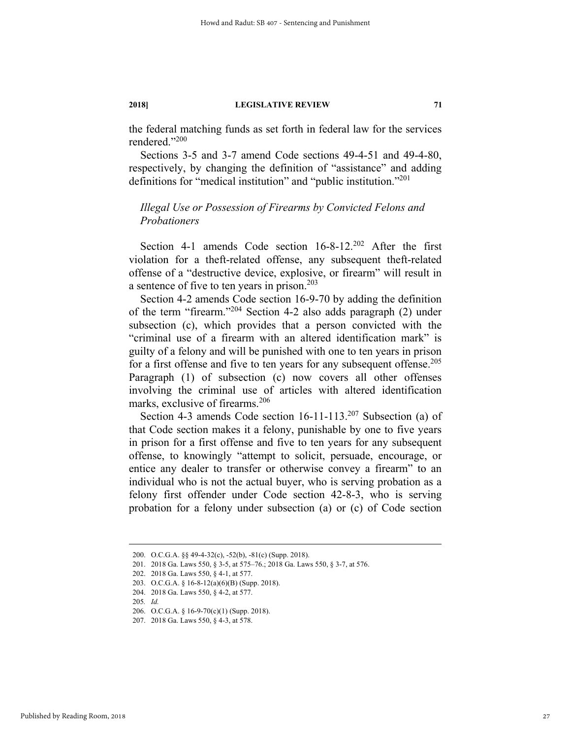the federal matching funds as set forth in federal law for the services rendered."200

Sections 3-5 and 3-7 amend Code sections 49-4-51 and 49-4-80, respectively, by changing the definition of "assistance" and adding definitions for "medical institution" and "public institution."201

# *Illegal Use or Possession of Firearms by Convicted Felons and Probationers*

Section 4-1 amends Code section 16-8-12.<sup>202</sup> After the first violation for a theft-related offense, any subsequent theft-related offense of a "destructive device, explosive, or firearm" will result in a sentence of five to ten years in prison.<sup>203</sup>

Section 4-2 amends Code section 16-9-70 by adding the definition of the term "firearm."204 Section 4-2 also adds paragraph (2) under subsection (c), which provides that a person convicted with the "criminal use of a firearm with an altered identification mark" is guilty of a felony and will be punished with one to ten years in prison for a first offense and five to ten years for any subsequent offense.<sup>205</sup> Paragraph (1) of subsection (c) now covers all other offenses involving the criminal use of articles with altered identification marks, exclusive of firearms.<sup>206</sup>

Section 4-3 amends Code section 16-11-113.<sup>207</sup> Subsection (a) of that Code section makes it a felony, punishable by one to five years in prison for a first offense and five to ten years for any subsequent offense, to knowingly "attempt to solicit, persuade, encourage, or entice any dealer to transfer or otherwise convey a firearm" to an individual who is not the actual buyer, who is serving probation as a felony first offender under Code section 42-8-3, who is serving probation for a felony under subsection (a) or (c) of Code section

27

 <sup>200.</sup> O.C.G.A. §§ 49-4-32(c), -52(b), -81(c) (Supp. 2018).

 <sup>201. 2018</sup> Ga. Laws 550, § 3-5, at 575–76.; 2018 Ga. Laws 550, § 3-7, at 576.

 <sup>202. 2018</sup> Ga. Laws 550, § 4-1, at 577.

 <sup>203.</sup> O.C.G.A. § 16-8-12(a)(6)(B) (Supp. 2018).

 <sup>204. 2018</sup> Ga. Laws 550, § 4-2, at 577.

<sup>205</sup>*. Id.*

 <sup>206.</sup> O.C.G.A. § 16-9-70(c)(1) (Supp. 2018).

 <sup>207. 2018</sup> Ga. Laws 550, § 4-3, at 578.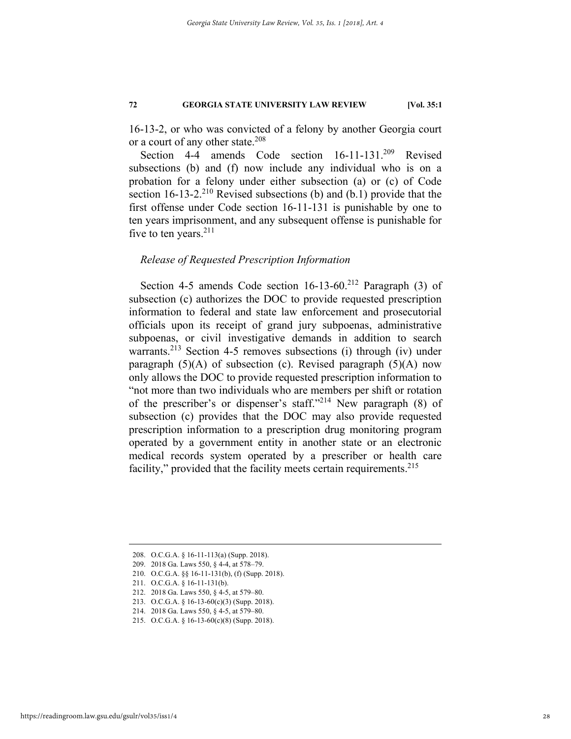16-13-2, or who was convicted of a felony by another Georgia court or a court of any other state.<sup>208</sup>

Section 4-4 amends Code section 16-11-131.<sup>209</sup> Revised subsections (b) and (f) now include any individual who is on a probation for a felony under either subsection (a) or (c) of Code section  $16-13-2$ <sup>210</sup> Revised subsections (b) and (b.1) provide that the first offense under Code section 16-11-131 is punishable by one to ten years imprisonment, and any subsequent offense is punishable for five to ten years. $211$ 

# *Release of Requested Prescription Information*

Section 4-5 amends Code section 16-13-60.<sup>212</sup> Paragraph (3) of subsection (c) authorizes the DOC to provide requested prescription information to federal and state law enforcement and prosecutorial officials upon its receipt of grand jury subpoenas, administrative subpoenas, or civil investigative demands in addition to search warrants.<sup>213</sup> Section 4-5 removes subsections (i) through (iv) under paragraph  $(5)(A)$  of subsection (c). Revised paragraph  $(5)(A)$  now only allows the DOC to provide requested prescription information to "not more than two individuals who are members per shift or rotation of the prescriber's or dispenser's staff."214 New paragraph (8) of subsection (c) provides that the DOC may also provide requested prescription information to a prescription drug monitoring program operated by a government entity in another state or an electronic medical records system operated by a prescriber or health care facility," provided that the facility meets certain requirements.<sup>215</sup>

 <sup>208.</sup> O.C.G.A. § 16-11-113(a) (Supp. 2018).

 <sup>209. 2018</sup> Ga. Laws 550, § 4-4, at 578–79.

 <sup>210.</sup> O.C.G.A. §§ 16-11-131(b), (f) (Supp. 2018).

 <sup>211.</sup> O.C.G.A. § 16-11-131(b).

 <sup>212. 2018</sup> Ga. Laws 550, § 4-5, at 579–80.

 <sup>213.</sup> O.C.G.A. § 16-13-60(c)(3) (Supp. 2018).

 <sup>214. 2018</sup> Ga. Laws 550, § 4-5, at 579–80.

 <sup>215.</sup> O.C.G.A. § 16-13-60(c)(8) (Supp. 2018).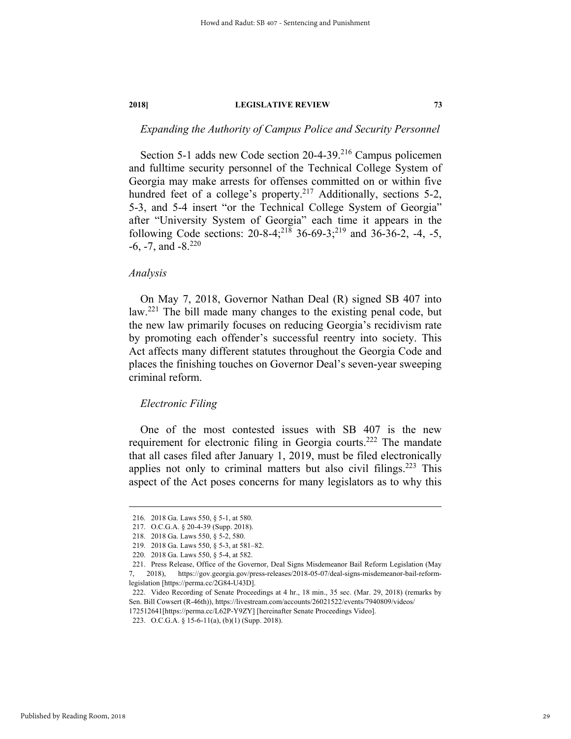# *Expanding the Authority of Campus Police and Security Personnel*

Section 5-1 adds new Code section 20-4-39.<sup>216</sup> Campus policemen and fulltime security personnel of the Technical College System of Georgia may make arrests for offenses committed on or within five hundred feet of a college's property.<sup>217</sup> Additionally, sections 5-2, 5-3, and 5-4 insert "or the Technical College System of Georgia" after "University System of Georgia" each time it appears in the following Code sections:  $20-8-4;^{218}$  36-69-3;<sup>219</sup> and 36-36-2, -4, -5,  $-6$ ,  $-7$ , and  $-8$ .<sup>220</sup>

#### *Analysis*

On May 7, 2018, Governor Nathan Deal (R) signed SB 407 into law.221 The bill made many changes to the existing penal code, but the new law primarily focuses on reducing Georgia's recidivism rate by promoting each offender's successful reentry into society. This Act affects many different statutes throughout the Georgia Code and places the finishing touches on Governor Deal's seven-year sweeping criminal reform.

#### *Electronic Filing*

One of the most contested issues with SB 407 is the new requirement for electronic filing in Georgia courts.<sup>222</sup> The mandate that all cases filed after January 1, 2019, must be filed electronically applies not only to criminal matters but also civil filings.<sup>223</sup> This aspect of the Act poses concerns for many legislators as to why this

 <sup>216. 2018</sup> Ga. Laws 550, § 5-1, at 580.

 <sup>217.</sup> O.C.G.A. § 20-4-39 (Supp. 2018).

 <sup>218. 2018</sup> Ga. Laws 550, § 5-2, 580.

 <sup>219. 2018</sup> Ga. Laws 550, § 5-3, at 581–82.

 <sup>220. 2018</sup> Ga. Laws 550, § 5-4, at 582.

 <sup>221.</sup> Press Release, Office of the Governor, Deal Signs Misdemeanor Bail Reform Legislation (May

<sup>7, 2018),</sup> https://gov.georgia.gov/press-releases/2018-05-07/deal-signs-misdemeanor-bail-reformlegislation [https://perma.cc/2G84-U43D].

 <sup>222.</sup> Video Recording of Senate Proceedings at 4 hr., 18 min., 35 sec. (Mar. 29, 2018) (remarks by Sen. Bill Cowsert (R-46th)), https://livestream.com/accounts/26021522/events/7940809/videos/ 172512641[https://perma.cc/L62P-Y9ZY] [hereinafter Senate Proceedings Video].

 <sup>223.</sup> O.C.G.A. § 15-6-11(a), (b)(1) (Supp. 2018).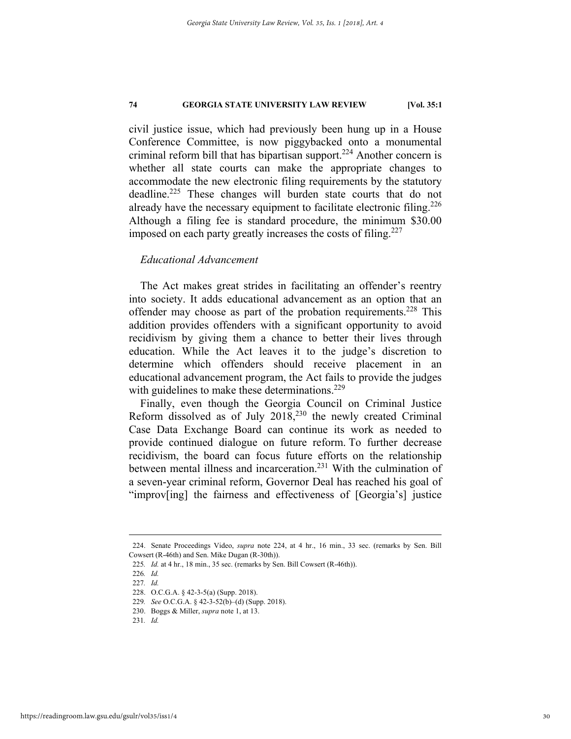civil justice issue, which had previously been hung up in a House Conference Committee, is now piggybacked onto a monumental criminal reform bill that has bipartisan support.<sup>224</sup> Another concern is whether all state courts can make the appropriate changes to accommodate the new electronic filing requirements by the statutory deadline.<sup>225</sup> These changes will burden state courts that do not already have the necessary equipment to facilitate electronic filing.<sup>226</sup> Although a filing fee is standard procedure, the minimum \$30.00 imposed on each party greatly increases the costs of filing.<sup>227</sup>

# *Educational Advancement*

The Act makes great strides in facilitating an offender's reentry into society. It adds educational advancement as an option that an offender may choose as part of the probation requirements.<sup>228</sup> This addition provides offenders with a significant opportunity to avoid recidivism by giving them a chance to better their lives through education. While the Act leaves it to the judge's discretion to determine which offenders should receive placement in an educational advancement program, the Act fails to provide the judges with guidelines to make these determinations.<sup>229</sup>

Finally, even though the Georgia Council on Criminal Justice Reform dissolved as of July 2018,230 the newly created Criminal Case Data Exchange Board can continue its work as needed to provide continued dialogue on future reform. To further decrease recidivism, the board can focus future efforts on the relationship between mental illness and incarceration.<sup>231</sup> With the culmination of a seven-year criminal reform, Governor Deal has reached his goal of "improv[ing] the fairness and effectiveness of [Georgia's] justice

 <sup>224.</sup> Senate Proceedings Video, *supra* note 224, at 4 hr., 16 min., 33 sec. (remarks by Sen. Bill Cowsert (R-46th) and Sen. Mike Dugan (R-30th)).

<sup>225</sup>*. Id.* at 4 hr., 18 min., 35 sec. (remarks by Sen. Bill Cowsert (R-46th)).

<sup>226</sup>*. Id.*

<sup>227</sup>*. Id.*

 <sup>228.</sup> O.C.G.A. § 42-3-5(a) (Supp. 2018).

<sup>229</sup>*. See* O.C.G.A. § 42-3-52(b)–(d) (Supp. 2018).

 <sup>230.</sup> Boggs & Miller, *supra* note 1, at 13.

<sup>231</sup>*. Id.*